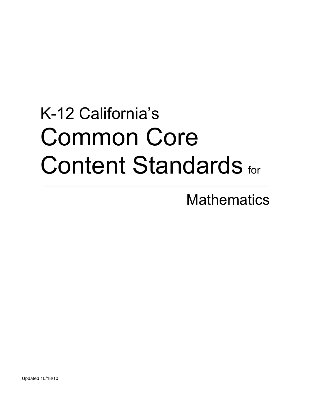# K-12 California's Common Core Content Standards for

**Mathematics**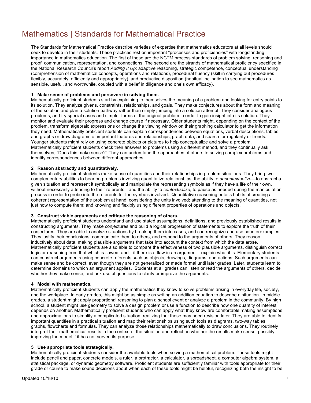# Mathematics | Standards for Mathematical Practice

The Standards for Mathematical Practice describe varieties of expertise that mathematics educators at all levels should seek to develop in their students. These practices rest on important "processes and proficiencies" with longstanding importance in mathematics education. The first of these are the NCTM process standards of problem solving, reasoning and proof, communication, representation, and connections. The second are the strands of mathematical proficiency specified in the National Research Council's report *Adding It Up*: adaptive reasoning, strategic competence, conceptual understanding (comprehension of mathematical concepts, operations and relations), procedural fluency (skill in carrying out procedures flexibly, accurately, efficiently and appropriately), and productive disposition (habitual inclination to see mathematics as sensible, useful, and worthwhile, coupled with a belief in diligence and one's own efficacy).

#### **1 Make sense of problems and persevere in solving them.**

Mathematically proficient students start by explaining to themselves the meaning of a problem and looking for entry points to its solution. They analyze givens, constraints, relationships, and goals. They make conjectures about the form and meaning of the solution and plan a solution pathway rather than simply jumping into a solution attempt. They consider analogous problems, and try special cases and simpler forms of the original problem in order to gain insight into its solution. They monitor and evaluate their progress and change course if necessary. Older students might, depending on the context of the problem, transform algebraic expressions or change the viewing window on their graphing calculator to get the information they need. Mathematically proficient students can explain correspondences between equations, verbal descriptions, tables, and graphs or draw diagrams of important features and relationships, graph data, and search for regularity or trends. Younger students might rely on using concrete objects or pictures to help conceptualize and solve a problem. Mathematically proficient students check their answers to problems using a different method, and they continually ask themselves, "Does this make sense?" They can understand the approaches of others to solving complex problems and identify correspondences between different approaches.

#### **2 Reason abstractly and quantitatively.**

Mathematically proficient students make sense of quantities and their relationships in problem situations. They bring two complementary abilities to bear on problems involving quantitative relationships: the ability to *decontextualize*—to abstract a given situation and represent it symbolically and manipulate the representing symbols as if they have a life of their own, without necessarily attending to their referents—and the ability to *contextualize*, to pause as needed during the manipulation process in order to probe into the referents for the symbols involved. Quantitative reasoning entails habits of creating a coherent representation of the problem at hand; considering the units involved; attending to the meaning of quantities, not just how to compute them; and knowing and flexibly using different properties of operations and objects.

#### **3 Construct viable arguments and critique the reasoning of others.**

Mathematically proficient students understand and use stated assumptions, definitions, and previously established results in constructing arguments. They make conjectures and build a logical progression of statements to explore the truth of their conjectures. They are able to analyze situations by breaking them into cases, and can recognize and use counterexamples. They justify their conclusions, communicate them to others, and respond to the arguments of others. They reason inductively about data, making plausible arguments that take into account the context from which the data arose. Mathematically proficient students are also able to compare the effectiveness of two plausible arguments, distinguish correct logic or reasoning from that which is flawed, and—if there is a flaw in an argument—explain what it is. Elementary students can construct arguments using concrete referents such as objects, drawings, diagrams, and actions. Such arguments can make sense and be correct, even though they are not generalized or made formal until later grades. Later, students learn to determine domains to which an argument applies. Students at all grades can listen or read the arguments of others, decide whether they make sense, and ask useful questions to clarify or improve the arguments.

#### **4 Model with mathematics.**

Mathematically proficient students can apply the mathematics they know to solve problems arising in everyday life, society, and the workplace. In early grades, this might be as simple as writing an addition equation to describe a situation. In middle grades, a student might apply proportional reasoning to plan a school event or analyze a problem in the community. By high school, a student might use geometry to solve a design problem or use a function to describe how one quantity of interest depends on another. Mathematically proficient students who can apply what they know are comfortable making assumptions and approximations to simplify a complicated situation, realizing that these may need revision later. They are able to identify important quantities in a practical situation and map their relationships using such tools as diagrams, two-way tables, graphs, flowcharts and formulas. They can analyze those relationships mathematically to draw conclusions. They routinely interpret their mathematical results in the context of the situation and reflect on whether the results make sense, possibly improving the model if it has not served its purpose.

#### **5 Use appropriate tools strategically.**

Mathematically proficient students consider the available tools when solving a mathematical problem. These tools might include pencil and paper, concrete models, a ruler, a protractor, a calculator, a spreadsheet, a computer algebra system, a statistical package, or dynamic geometry software. Proficient students are sufficiently familiar with tools appropriate for their grade or course to make sound decisions about when each of these tools might be helpful, recognizing both the insight to be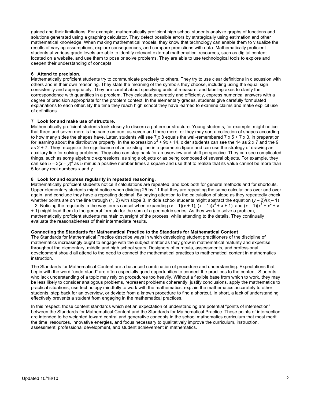gained and their limitations. For example, mathematically proficient high school students analyze graphs of functions and solutions generated using a graphing calculator. They detect possible errors by strategically using estimation and other mathematical knowledge. When making mathematical models, they know that technology can enable them to visualize the results of varying assumptions, explore consequences, and compare predictions with data. Mathematically proficient students at various grade levels are able to identify relevant external mathematical resources, such as digital content located on a website, and use them to pose or solve problems. They are able to use technological tools to explore and deepen their understanding of concepts.

#### **6 Attend to precision.**

Mathematically proficient students try to communicate precisely to others. They try to use clear definitions in discussion with others and in their own reasoning. They state the meaning of the symbols they choose, including using the equal sign consistently and appropriately. They are careful about specifying units of measure, and labeling axes to clarify the correspondence with quantities in a problem. They calculate accurately and efficiently, express numerical answers with a degree of precision appropriate for the problem context. In the elementary grades, students give carefully formulated explanations to each other. By the time they reach high school they have learned to examine claims and make explicit use of definitions.

#### **7 Look for and make use of structure.**

Mathematically proficient students look closely to discern a pattern or structure. Young students, for example, might notice that three and seven more is the same amount as seven and three more, or they may sort a collection of shapes according to how many sides the shapes have. Later, students will see  $7 \times 8$  equals the well-remembered  $7 \times 5 + 7 \times 3$ , in preparation for learning about the distributive property. In the expression  $x^2 + 9x + 14$ , older students can see the 14 as 2 x 7 and the 9 as 2 + 7. They recognize the significance of an existing line in a geometric figure and can use the strategy of drawing an auxiliary line for solving problems. They also can step back for an overview and shift perspective. They can see complicated things, such as some algebraic expressions, as single objects or as being composed of several objects. For example, they can see  $5 - 3(x - y)^2$  as 5 minus a positive number times a square and use that to realize that its value cannot be more than 5 for any real numbers *x* and *y*.

#### **8 Look for and express regularity in repeated reasoning.**

Mathematically proficient students notice if calculations are repeated, and look both for general methods and for shortcuts. Upper elementary students might notice when dividing 25 by 11 that they are repeating the same calculations over and over again, and conclude they have a repeating decimal. By paying attention to the calculation of slope as they repeatedly check whether points are on the line through (1, 2) with slope 3, middle school students might abstract the equation (*y* – 2)/(*x* – 1) = 3. Noticing the regularity in the way terms cancel when expanding  $(x-1)(x+1)$ ,  $(x-1)(x^2+x+1)$ , and  $(x-1)(x^3+x^2+x^2)$ + 1) might lead them to the general formula for the sum of a geometric series. As they work to solve a problem, mathematically proficient students maintain oversight of the process, while attending to the details. They continually evaluate the reasonableness of their intermediate results.

#### **Connecting the Standards for Mathematical Practice to the Standards for Mathematical Content**

The Standards for Mathematical Practice describe ways in which developing student practitioners of the discipline of mathematics increasingly ought to engage with the subject matter as they grow in mathematical maturity and expertise throughout the elementary, middle and high school years. Designers of curricula, assessments, and professional development should all attend to the need to connect the mathematical practices to mathematical content in mathematics instruction.

The Standards for Mathematical Content are a balanced combination of procedure and understanding. Expectations that begin with the word "understand" are often especially good opportunities to connect the practices to the content. Students who lack understanding of a topic may rely on procedures too heavily. Without a flexible base from which to work, they may be less likely to consider analogous problems, represent problems coherently, justify conclusions, apply the mathematics to practical situations, use technology mindfully to work with the mathematics, explain the mathematics accurately to other students, step back for an overview, or deviate from a known procedure to find a shortcut. In short, a lack of understanding effectively prevents a student from engaging in the mathematical practices.

In this respect, those content standards which set an expectation of understanding are potential "points of intersection" between the Standards for Mathematical Content and the Standards for Mathematical Practice. These points of intersection are intended to be weighted toward central and generative concepts in the school mathematics curriculum that most merit the time, resources, innovative energies, and focus necessary to qualitatively improve the curriculum, instruction, assessment, professional development, and student achievement in mathematics.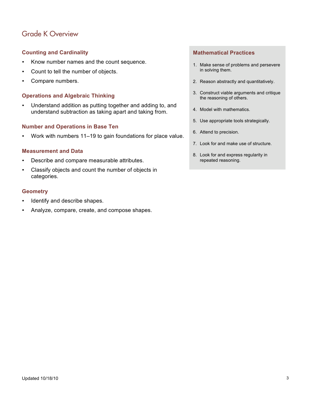### Grade K Overview

### **Counting and Cardinality**

- Know number names and the count sequence.
- Count to tell the number of objects.
- Compare numbers.

### **Operations and Algebraic Thinking**

• Understand addition as putting together and adding to, and understand subtraction as taking apart and taking from.

#### **Number and Operations in Base Ten**

• Work with numbers 11–19 to gain foundations for place value.

#### **Measurement and Data**

- Describe and compare measurable attributes.
- Classify objects and count the number of objects in categories.

#### **Geometry**

- Identify and describe shapes.
- Analyze, compare, create, and compose shapes.

- 1. Make sense of problems and persevere in solving them.
- 2. Reason abstractly and quantitatively.
- 3. Construct viable arguments and critique the reasoning of others.
- 4. Model with mathematics.
- 5. Use appropriate tools strategically.
- 6. Attend to precision.
- 7. Look for and make use of structure.
- 8. Look for and express regularity in repeated reasoning.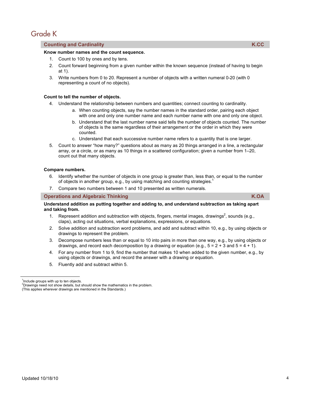## Grade K

#### **Counting and Cardinality K.CC**

#### **Know number names and the count sequence.**

- 1. Count to 100 by ones and by tens.
- 2. Count forward beginning from a given number within the known sequence (instead of having to begin at 1).
- 3. Write numbers from 0 to 20. Represent a number of objects with a written numeral 0-20 (with 0 representing a count of no objects).

#### **Count to tell the number of objects.**

- 4. Understand the relationship between numbers and quantities; connect counting to cardinality.
	- a. When counting objects, say the number names in the standard order, pairing each object with one and only one number name and each number name with one and only one object.
	- b. Understand that the last number name said tells the number of objects counted. The number of objects is the same regardless of their arrangement or the order in which they were counted.
	- c. Understand that each successive number name refers to a quantity that is one larger.
- 5. Count to answer "how many?" questions about as many as 20 things arranged in a line, a rectangular array, or a circle, or as many as 10 things in a scattered configuration; given a number from 1–20, count out that many objects.

#### **Compare numbers.**

- 6. Identify whether the number of objects in one group is greater than, less than, or equal to the number of objects in another group, e.g., by using matching and counting strategies.
- 7. Compare two numbers between 1 and 10 presented as written numerals.

#### **Operations and Algebraic Thinking K.OA**

#### **Understand addition as putting together and adding to, and understand subtraction as taking apart and taking from.**

- 1. Represent addition and subtraction with objects, fingers, mental images, drawings<sup>2</sup>, sounds (e.g., claps), acting out situations, verbal explanations, expressions, or equations.
- 2. Solve addition and subtraction word problems, and add and subtract within 10, e.g., by using objects or drawings to represent the problem.
- 3. Decompose numbers less than or equal to 10 into pairs in more than one way, e.g., by using objects or drawings, and record each decomposition by a drawing or equation (e.g.,  $5 = 2 + 3$  and  $5 = 4 + 1$ ).
- 4. For any number from 1 to 9, find the number that makes 10 when added to the given number, e.g., by using objects or drawings, and record the answer with a drawing or equation.
- 5. Fluently add and subtract within 5.

<sup>&</sup>lt;sup>1</sup>Include groups with up to ten objects.

 $2$ Drawings need not show details, but should show the mathematics in the problem.

<sup>(</sup>This applies wherever drawings are mentioned in the Standards.)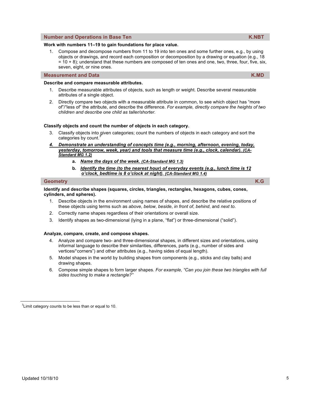#### **Number and Operations in Base Ten K.NBT**

#### **Work with numbers 11–19 to gain foundations for place value.**

1. Compose and decompose numbers from 11 to 19 into ten ones and some further ones, e.g., by using objects or drawings, and record each composition or decomposition by a drawing or equation (e.g., 18  $= 10 + 8$ ); understand that these numbers are composed of ten ones and one, two, three, four, five, six, seven, eight, or nine ones.

#### **Measurement and Data K.MD**

#### **Describe and compare measurable attributes.**

- 1. Describe measurable attributes of objects, such as length or weight. Describe several measurable attributes of a single object.
- 2. Directly compare two objects with a measurable attribute in common, to see which object has "more of"/"less of" the attribute, and describe the difference. *For example, directly compare the heights of two children and describe one child as taller/shorter.*

#### **Classify objects and count the number of objects in each category.**

- 3. Classify objects into given categories; count the numbers of objects in each category and sort the categories by count.
- *4. Demonstrate an understanding of concepts time (e.g., morning, afternoon, evening, today, yesterday, tomorrow, week, year) and tools that measure time (e.g., clock, calendar). (CA-Standard MG 1.2)*
	- **a.** *Name the days of the week. (CA-Standard MG 1.3)*
	- **b.** *Identify the time (to the nearest hour) of everyday events (e.g., lunch time is 12 o'clock, bedtime is 8 o'clock at night). (CA-Standard MG 1.4)*

#### **Geometry K.G**

#### **Identify and describe shapes (squares, circles, triangles, rectangles, hexagons, cubes, cones, cylinders, and spheres).**

- Describe objects in the environment using names of shapes, and describe the relative positions of these objects using terms such as *above*, *below*, *beside*, *in front of*, *behind*, and *next to*.
- 2. Correctly name shapes regardless of their orientations or overall size.
- 3. Identify shapes as two-dimensional (lying in a plane, "flat") or three-dimensional ("solid").

#### **Analyze, compare, create, and compose shapes.**

- 4. Analyze and compare two- and three-dimensional shapes, in different sizes and orientations, using informal language to describe their similarities, differences, parts (e.g., number of sides and vertices/"corners") and other attributes (e.g., having sides of equal length).
- 5. Model shapes in the world by building shapes from components (e.g., sticks and clay balls) and drawing shapes.
- 6. Compose simple shapes to form larger shapes. *For example, "Can you join these two triangles with full sides touching to make a rectangle?"*

 $3$ Limit category counts to be less than or equal to 10.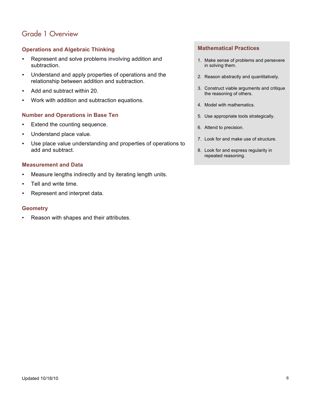## Grade 1 Overview

#### **Operations and Algebraic Thinking**

- Represent and solve problems involving addition and subtraction.
- Understand and apply properties of operations and the relationship between addition and subtraction.
- Add and subtract within 20.
- Work with addition and subtraction equations.

#### **Number and Operations in Base Ten**

- Extend the counting sequence.
- Understand place value.
- Use place value understanding and properties of operations to add and subtract.

#### **Measurement and Data**

- Measure lengths indirectly and by iterating length units.
- Tell and write time.
- Represent and interpret data.

#### **Geometry**

• Reason with shapes and their attributes.

- 1. Make sense of problems and persevere in solving them.
- 2. Reason abstractly and quantitatively.
- 3. Construct viable arguments and critique the reasoning of others.
- 4. Model with mathematics.
- 5. Use appropriate tools strategically.
- 6. Attend to precision.
- 7. Look for and make use of structure.
- 8. Look for and express regularity in repeated reasoning.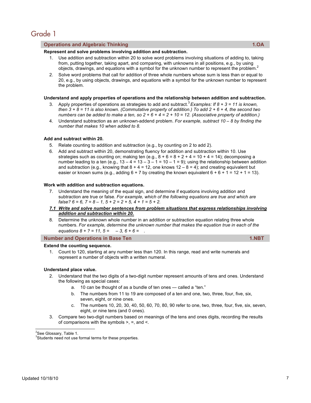### Grade 1

#### **Operations and Algebraic Thinking 1.OA**

#### **Represent and solve problems involving addition and subtraction.**

- 1. Use addition and subtraction within 20 to solve word problems involving situations of adding to, taking from, putting together, taking apart, and comparing, with unknowns in all positions, e.g., by using objects, drawings, and equations with a symbol for the unknown number to represent the problem.<sup>2</sup>
- 2. Solve word problems that call for addition of three whole numbers whose sum is less than or equal to 20, e.g., by using objects, drawings, and equations with a symbol for the unknown number to represent the problem.

#### **Understand and apply properties of operations and the relationship between addition and subtraction.**

- 3. Apply properties of operations as strategies to add and subtract.<sup>3</sup>*Examples: If 8 + 3 = 11 is known, then 3 + 8 = 11 is also known. (Commutative property of addition.) To add 2 + 6 + 4, the second two numbers can be added to make a ten, so 2 + 6 + 4 = 2 + 10 = 12. (Associative property of addition.)*
- 4. Understand subtraction as an unknown-addend problem. *For example, subtract 10 8 by finding the number that makes 10 when added to 8.*

#### **Add and subtract within 20.**

- 5. Relate counting to addition and subtraction (e.g., by counting on 2 to add 2).
- 6. Add and subtract within 20, demonstrating fluency for addition and subtraction within 10. Use strategies such as counting on; making ten (e.g.,  $8 + 6 = 8 + 2 + 4 = 10 + 4 = 14$ ); decomposing a number leading to a ten (e.g.,  $13 - 4 = 13 - 3 - 1 = 10 - 1 = 9$ ); using the relationship between addition and subtraction (e.g., knowing that  $8 + 4 = 12$ , one knows  $12 - 8 = 4$ ); and creating equivalent but easier or known sums (e.g., adding  $6 + 7$  by creating the known equivalent  $6 + 6 + 1 = 12 + 1 = 13$ ).

#### **Work with addition and subtraction equations.**

- 7. Understand the meaning of the equal sign, and determine if equations involving addition and subtraction are true or false. *For example, which of the following equations are true and which are false? 6 = 6, 7 = 8 – 1, 5 + 2 = 2 + 5, 4 + 1 = 5 + 2.*
- *7.1 Write and solve number sentences from problem situations that express relationships involving addition and subtraction within 20.*
- 8. Determine the unknown whole number in an addition or subtraction equation relating three whole numbers. *For example, determine the unknown number that makes the equation true in each of the*   $e$ *duations*  $8 + ? = 11$ ,  $5 = -3$ ,  $6 + 6 =$

#### **Number and Operations in Base Ten 1.NBT**

#### **Extend the counting sequence.**

1. Count to 120, starting at any number less than 120. In this range, read and write numerals and represent a number of objects with a written numeral.

#### **Understand place value.**

- 2. Understand that the two digits of a two-digit number represent amounts of tens and ones. Understand the following as special cases:
	- a. 10 can be thought of as a bundle of ten ones called a "ten."
	- b. The numbers from 11 to 19 are composed of a ten and one, two, three, four, five, six, seven, eight, or nine ones.
	- c. The numbers 10, 20, 30, 40, 50, 60, 70, 80, 90 refer to one, two, three, four, five, six, seven, eight, or nine tens (and 0 ones).
- 3. Compare two two-digit numbers based on meanings of the tens and ones digits, recording the results of comparisons with the symbols >, =, and <.

<sup>&</sup>lt;sup>2</sup>See Glossary, Table 1.

<sup>&</sup>lt;sup>3</sup>Students need not use formal terms for these properties.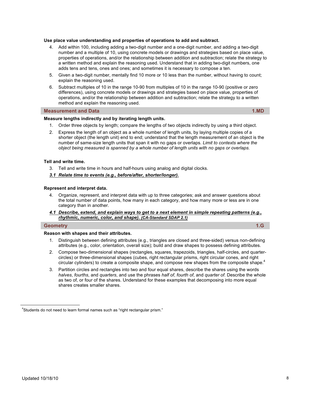#### **Use place value understanding and properties of operations to add and subtract.**

- 4. Add within 100, including adding a two-digit number and a one-digit number, and adding a two-digit number and a multiple of 10, using concrete models or drawings and strategies based on place value, properties of operations, and/or the relationship between addition and subtraction; relate the strategy to a written method and explain the reasoning used. Understand that in adding two-digit numbers, one adds tens and tens, ones and ones; and sometimes it is necessary to compose a ten.
- 5. Given a two-digit number, mentally find 10 more or 10 less than the number, without having to count; explain the reasoning used.
- 6. Subtract multiples of 10 in the range 10-90 from multiples of 10 in the range 10-90 (positive or zero differences), using concrete models or drawings and strategies based on place value, properties of operations, and/or the relationship between addition and subtraction; relate the strategy to a written method and explain the reasoning used.

#### **Measurement and Data 1.MD**

#### **Measure lengths indirectly and by iterating length units.**

- 1. Order three objects by length; compare the lengths of two objects indirectly by using a third object.
- 2. Express the length of an object as a whole number of length units, by laying multiple copies of a shorter object (the length unit) end to end; understand that the length measurement of an object is the number of same-size length units that span it with no gaps or overlaps. *Limit to contexts where the object being measured is spanned by a whole number of length units with no gaps or overlaps.*

#### **Tell and write time.**

3. Tell and write time in hours and half-hours using analog and digital clocks.

#### *3.1 Relate time to events (e.g., before/after, shorter/longer).*

#### **Represent and interpret data.**

- 4. Organize, represent, and interpret data with up to three categories; ask and answer questions about the total number of data points, how many in each category, and how many more or less are in one category than in another.
- *4.1 Describe, extend, and explain ways to get to a next element in simple repeating patterns (e.g., rhythmic, numeric, color, and shape). (CA-Standard SDAP 2.1)*

#### **Geometry 1.G**

#### **Reason with shapes and their attributes.**

- 1. Distinguish between defining attributes (e.g., triangles are closed and three-sided) versus non-defining attributes (e.g., color, orientation, overall size); build and draw shapes to possess defining attributes.
- 2. Compose two-dimensional shapes (rectangles, squares, trapezoids, triangles, half-circles, and quartercircles) or three-dimensional shapes (cubes, right rectangular prisms, right circular cones, and right circular cylinders) to create a composite shape, and compose new shapes from the composite shape.4
- 3. Partition circles and rectangles into two and four equal shares, describe the shares using the words *halves*, *fourths*, and *quarters*, and use the phrases *half of*, *fourth of*, and *quarter of*. Describe the whole as two of, or four of the shares. Understand for these examples that decomposing into more equal shares creates smaller shares.

<sup>&</sup>lt;sup>4</sup>Students do not need to learn formal names such as "right rectangular prism."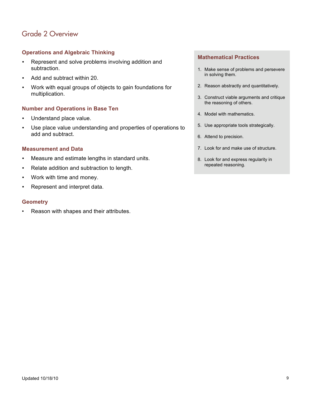### Grade 2 Overview

#### **Operations and Algebraic Thinking**

- Represent and solve problems involving addition and subtraction.
- Add and subtract within 20.
- Work with equal groups of objects to gain foundations for multiplication.

#### **Number and Operations in Base Ten**

- Understand place value.
- Use place value understanding and properties of operations to add and subtract.

#### **Measurement and Data**

- Measure and estimate lengths in standard units.
- Relate addition and subtraction to length.
- Work with time and money.
- Represent and interpret data.

#### **Geometry**

• Reason with shapes and their attributes.

- 1. Make sense of problems and persevere in solving them.
- 2. Reason abstractly and quantitatively.
- 3. Construct viable arguments and critique the reasoning of others.
- 4. Model with mathematics.
- 5. Use appropriate tools strategically.
- 6. Attend to precision.
- 7. Look for and make use of structure.
- 8. Look for and express regularity in repeated reasoning.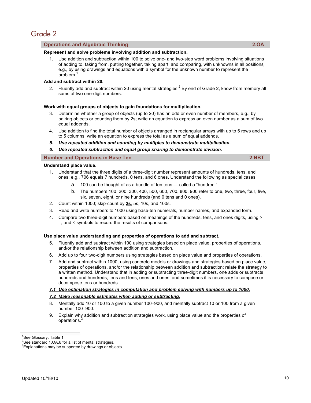### Grade 2

#### **Operations and Algebraic Thinking 2.OA**

#### **Represent and solve problems involving addition and subtraction.**

1. Use addition and subtraction within 100 to solve one- and two-step word problems involving situations of adding to, taking from, putting together, taking apart, and comparing, with unknowns in all positions*,* e.g., by using drawings and equations with a symbol for the unknown number to represent the problem*.* 1

#### **Add and subtract within 20.**

2. Fluently add and subtract within 20 using mental strategies.<sup>2</sup> By end of Grade 2, know from memory all sums of two one-digit numbers.

#### **Work with equal groups of objects to gain foundations for multiplication.**

- 3. Determine whether a group of objects (up to 20) has an odd or even number of members, e.g., by pairing objects or counting them by 2s; write an equation to express an even number as a sum of two equal addends.
- 4. Use addition to find the total number of objects arranged in rectangular arrays with up to 5 rows and up to 5 columns; write an equation to express the total as a sum of equal addends.
- *5. Use repeated addition and counting by multiples to demonstrate multiplication.*
- *6. Use repeated subtraction and equal group sharing to demonstrate division.*

#### **Number and Operations in Base Ten 2.NBT**

#### **Understand place value.**

- 1. Understand that the three digits of a three-digit number represent amounts of hundreds, tens, and ones; e.g., 706 equals 7 hundreds, 0 tens, and 6 ones. Understand the following as special cases:
	- a. 100 can be thought of as a bundle of ten tens called a "hundred."
	- b. The numbers 100, 200, 300, 400, 500, 600, 700, 800, 900 refer to one, two, three, four, five, six, seven, eight, or nine hundreds (and 0 tens and 0 ones).
- 2. Count within 1000; skip-count by **2s**, 5s, 10s, and 100s.
- 3. Read and write numbers to 1000 using base-ten numerals, number names, and expanded form.
- 4. Compare two three-digit numbers based on meanings of the hundreds, tens, and ones digits, using >, =, and < symbols to record the results of comparisons.

#### **Use place value understanding and properties of operations to add and subtract.**

- 5. Fluently add and subtract within 100 using strategies based on place value, properties of operations, and/or the relationship between addition and subtraction.
- 6. Add up to four two-digit numbers using strategies based on place value and properties of operations.
- 7. Add and subtract within 1000, using concrete models or drawings and strategies based on place value, properties of operations, and/or the relationship between addition and subtraction; relate the strategy to a written method. Understand that in adding or subtracting three-digit numbers, one adds or subtracts hundreds and hundreds, tens and tens, ones and ones; and sometimes it is necessary to compose or decompose tens or hundreds.

#### *7.1 Use estimation strategies in computation and problem solving with numbers up to 1000.*

#### *7.2 Make reasonable estimates when adding or subtracting.*

- 8. Mentally add 10 or 100 to a given number 100–900, and mentally subtract 10 or 100 from a given number 100–900.
- 9. Explain why addition and subtraction strategies work, using place value and the properties of operations.

<sup>&</sup>lt;sup>1</sup>See Glossary, Table 1.

 $2$ See standard 1.0A.6 for a list of mental strategies.

 $3$ Explanations may be supported by drawings or objects.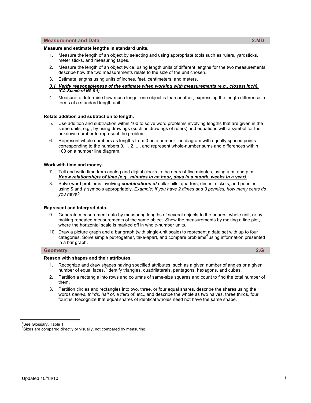#### **Measurement and Data 2.MD**

#### **Measure and estimate lengths in standard units.**

- 1. Measure the length of an object by selecting and using appropriate tools such as rulers, yardsticks, meter sticks, and measuring tapes.
- 2. Measure the length of an object twice, using length units of different lengths for the two measurements; describe how the two measurements relate to the size of the unit chosen.
- 3. Estimate lengths using units of inches, feet, centimeters, and meters.
- *3.1 Verify reasonableness of the estimate when working with measurements (e.g., closest inch). (CA-Standard NS 6.1)*
- 4. Measure to determine how much longer one object is than another, expressing the length difference in terms of a standard length unit.

#### **Relate addition and subtraction to length.**

- 5. Use addition and subtraction within 100 to solve word problems involving lengths that are given in the same units, e.g., by using drawings (such as drawings of rulers) and equations with a symbol for the unknown number to represent the problem.
- 6. Represent whole numbers as lengths from 0 on a number line diagram with equally spaced points corresponding to the numbers 0, 1, 2, ..., and represent whole-number sums and differences within 100 on a number line diagram.

#### **Work with time and money.**

- 7. Tell and write time from analog and digital clocks to the nearest five minutes, using a.m. and p.m. *Know relationships of time (e.g., minutes in an hour, days in a month, weeks in a year).*
- 8. Solve word problems involving *combinations of* dollar bills, quarters, dimes, nickels, and pennies, using \$ and ¢ symbols appropriately. *Example: If you have 2 dimes and 3 pennies, how many cents do you have?*

#### **Represent and interpret data.**

- 9. Generate measurement data by measuring lengths of several objects to the nearest whole unit, or by making repeated measurements of the same object. Show the measurements by making a line plot, where the horizontal scale is marked off in whole-number units.
- 10. Draw a picture graph and a bar graph (with single-unit scale) to represent a data set with up to four categories. Solve simple put-together, take-apart, and compare problems<sup>4</sup> using information presented in a bar graph.

#### **Geometry 2.G**

#### **Reason with shapes and their attributes.**

- 1. Recognize and draw shapes having specified attributes, such as a given number of angles or a given number of equal faces.<sup>5</sup> Identify triangles, quadrilaterals, pentagons, hexagons, and cubes.
- 2. Partition a rectangle into rows and columns of same-size squares and count to find the total number of them.
- 3. Partition circles and rectangles into two, three, or four equal shares, describe the shares using the words *halves*, *thirds*, *half of*, *a third of*, etc., and describe the whole as two halves, three thirds, four fourths. Recognize that equal shares of identical wholes need not have the same shape.

<sup>4</sup> See Glossary, Table 1.

<sup>&</sup>lt;sup>5</sup>Sizes are compared directly or visually, not compared by measuring.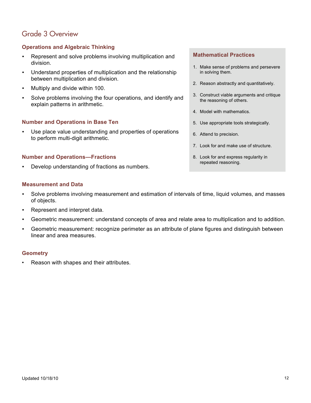### Grade 3 Overview

#### **Operations and Algebraic Thinking**

- Represent and solve problems involving multiplication and division.
- Understand properties of multiplication and the relationship between multiplication and division.
- Multiply and divide within 100.
- Solve problems involving the four operations, and identify and explain patterns in arithmetic.

### **Number and Operations in Base Ten**

• Use place value understanding and properties of operations to perform multi-digit arithmetic.

#### **Number and Operations—Fractions**

• Develop understanding of fractions as numbers.

#### **Measurement and Data**

- Solve problems involving measurement and estimation of intervals of time, liquid volumes, and masses of objects.
- Represent and interpret data.
- Geometric measurement: understand concepts of area and relate area to multiplication and to addition.
- Geometric measurement: recognize perimeter as an attribute of plane figures and distinguish between linear and area measures.

#### **Geometry**

• Reason with shapes and their attributes.

- 1. Make sense of problems and persevere in solving them.
- 2. Reason abstractly and quantitatively.
- 3. Construct viable arguments and critique the reasoning of others.
- 4. Model with mathematics.
- 5. Use appropriate tools strategically.
- 6. Attend to precision.
- 7. Look for and make use of structure.
- 8. Look for and express regularity in repeated reasoning.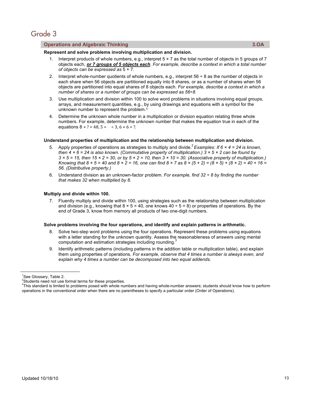#### **Operations and Algebraic Thinking 3.OA**

#### **Represent and solve problems involving multiplication and division.**

- 1. Interpret products of whole numbers, e.g., interpret 5 × 7 as the total number of objects in 5 groups of 7 objects each, *or 7 groups of 5 objects each*. *For example, describe a context in which a total number of objects can be expressed as* 5 × 7*.*
- 2. Interpret whole-number quotients of whole numbers, e.g., interpret  $56 \div 8$  as the number of objects in each share when 56 objects are partitioned equally into 8 shares, or as a number of shares when 56 objects are partitioned into equal shares of 8 objects each. *For example, describe a context in which a number of shares or a number of groups can be expressed as 56*÷*8.*
- 3. Use multiplication and division within 100 to solve word problems in situations involving equal groups, arrays, and measurement quantities, e.g., by using drawings and equations with a symbol for the unknown number to represent the problem.1
- 4. Determine the unknown whole number in a multiplication or division equation relating three whole numbers. For example, determine the unknown number that makes the equation true in each of the equations  $8 \times ? = 48, 5 = 3, 6 \times 6 = ?$ .

#### **Understand properties of multiplication and the relationship between multiplication and division.**

- 5. Apply properties of operations as strategies to multiply and divide.2*Examples: If 6 × 4 = 24 is known, then 4 × 6 = 24 is also known. (Commutative property of multiplication.) 3 × 5 × 2 can be found by 3 × 5 = 15, then 15 × 2 = 30, or by 5 × 2 = 10, then 3 × 10 = 30. (Associative property of multiplication.) Knowing that 8 × 5 = 40 and 8 × 2 = 16, one can find 8 × 7 as 8 × (5 + 2) = (8 × 5) + (8 × 2) = 40 + 16 = 56. (Distributive property.)*
- 6. Understand division as an unknown-factor problem. *For example, find 32 ÷ 8 by finding the number that makes 32 when multiplied by 8.*

#### **Multiply and divide within 100.**

7. Fluently multiply and divide within 100, using strategies such as the relationship between multiplication and division (e.g., knowing that  $8 \times 5 = 40$ , one knows  $40 \div 5 = 8$ ) or properties of operations. By the end of Grade 3, know from memory all products of two one-digit numbers.

#### **Solve problems involving the four operations, and identify and explain patterns in arithmetic.**

- 8. Solve two-step word problems using the four operations. Represent these problems using equations with a letter standing for the unknown quantity. Assess the reasonableness of answers using mental computation and estimation strategies including rounding.
- 9. Identify arithmetic patterns (including patterns in the addition table or multiplication table), and explain them using properties of operations. *For example, observe that 4 times a number is always even, and explain why 4 times a number can be decomposed into two equal addends.*

<sup>&</sup>lt;sup>1</sup>See Glossary, Table 2.

<sup>&</sup>lt;sup>2</sup>Students need not use formal terms for these properties.

 $3$ This standard is limited to problems posed with whole numbers and having whole-number answers; students should know how to perform operations in the conventional order when there are no parentheses to specify a particular order (Order of Operations).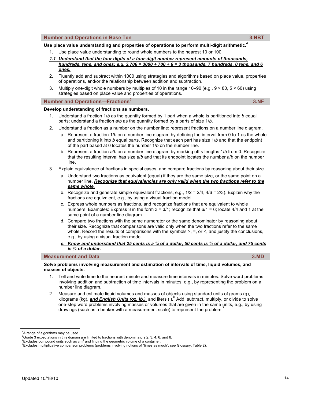#### **Number and Operations in Base Ten 3.NBT**

#### **Use place value understanding and properties of operations to perform multi-digit arithmetic.<sup>4</sup>**

- 1. Use place value understanding to round whole numbers to the nearest 10 or 100.
- *1.1 Understand that the four digits of a four-digit number represent amounts of thousands, hundreds, tens, and ones; e.g. 3,706 = 3000 + 700 + 6 = 3 thousands, 7 hundreds, 0 tens, and 6 ones.*
- 2. Fluently add and subtract within 1000 using strategies and algorithms based on place value, properties of operations, and/or the relationship between addition and subtraction.
- Multiply one-digit whole numbers by multiples of 10 in the range 10–90 (e.g.,  $9 \times 80$ ,  $5 \times 60$ ) using strategies based on place value and properties of operations.

#### **Number and Operations—Fractions<sup>5</sup> 3.NF**

#### **Develop understanding of fractions as numbers.**

- 1. Understand a fraction 1/*b* as the quantity formed by 1 part when a whole is partitioned into *b* equal parts; understand a fraction *a*/*b* as the quantity formed by *a* parts of size 1/*b*.
- 2. Understand a fraction as a number on the number line; represent fractions on a number line diagram.
	- a. Represent a fraction 1/*b* on a number line diagram by defining the interval from 0 to 1 as the whole and partitioning it into *b* equal parts. Recognize that each part has size 1/*b* and that the endpoint of the part based at 0 locates the number 1/*b* on the number line.
	- b. Represent a fraction *a*/*b* on a number line diagram by marking off *a* lengths 1/*b* from 0. Recognize that the resulting interval has size *a*/*b* and that its endpoint locates the number *a*/*b* on the number line.
- 3. Explain equivalence of fractions in special cases, and compare fractions by reasoning about their size.
	- a. Understand two fractions as equivalent (equal) if they are the same size, or the same point on a number line. *Recognize that equivalencies are only valid when the two fractions refer to the same whole.*
	- b. Recognize and generate simple equivalent fractions, e.g.,  $1/2 = 2/4$ ,  $4/6 = 2/3$ ). Explain why the fractions are equivalent, e.g., by using a visual fraction model.
	- c. Express whole numbers as fractions, and recognize fractions that are equivalent to whole numbers. Examples: Express 3 in the form  $3 = 3/1$ ; recognize that  $6/1 = 6$ ; locate  $4/4$  and 1 at the same point of a number line diagram.
	- d. Compare two fractions with the same numerator or the same denominator by reasoning about their size. Recognize that comparisons are valid only when the two fractions refer to the same whole. Record the results of comparisons with the symbols  $>$ ,  $=$ , or  $\lt$ , and justify the conclusions, e.g., by using a visual fraction model.

#### *e. Know and understand that 25 cents is a ¼ of a dollar, 50 cents is ½ of a dollar, and 75 cents is ¾ of a dollar.*

#### **Measurement and Data 3.MD**

#### **Solve problems involving measurement and estimation of intervals of time, liquid volumes, and masses of objects.**

- 1. Tell and write time to the nearest minute and measure time intervals in minutes. Solve word problems involving addition and subtraction of time intervals in minutes, e.g., by representing the problem on a number line diagram.
- 2. Measure and estimate liquid volumes and masses of objects using standard units of grams (g), kilograms (kg), *and English Units (oz, lb.)*, and liters (l).<sup>6</sup> Add, subtract, multiply, or divide to solve one-step word problems involving masses or volumes that are given in the same units, e.g., by using drawings (such as a beaker with a measurement scale) to represent the problem.

<sup>&</sup>lt;sup>4</sup>A range of algorithms may be used.

 ${}^{5}$ Grade 3 expectations in this domain are limited to fractions with denominators 2, 3, 4, 6, and 8.

 ${}^6$ Excludes compound units such as cm<sup>3</sup> and finding the geometric volume of a container.<br><sup>7</sup>Excludes multiplicative comparison architecture (architecture involving actions of "times co. m

Excludes multiplicative comparison problems (problems involving notions of "times as much"; see Glossary, Table 2).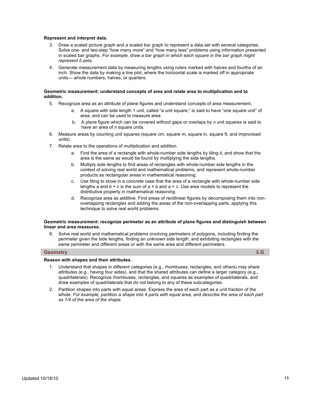#### **Represent and interpret data.**

- 3. Draw a scaled picture graph and a scaled bar graph to represent a data set with several categories. Solve one- and two-step "how many more" and "how many less" problems using information presented in scaled bar graphs. *For example, draw a bar graph in which each square in the bar graph might represent 5 pets.*
- 4. Generate measurement data by measuring lengths using rulers marked with halves and fourths of an inch. Show the data by making a line plot, where the horizontal scale is marked off in appropriate units— whole numbers, halves, or quarters.

#### **Geometric measurement: understand concepts of area and relate area to multiplication and to addition.**

- 5. Recognize area as an attribute of plane figures and understand concepts of area measurement.
	- a. A square with side length 1 unit, called "a unit square," is said to have "one square unit" of area, and can be used to measure area.
	- b. A plane figure which can be covered without gaps or overlaps by *n* unit squares is said to have an area of *n* square units.
- 6. Measure areas by counting unit squares (square cm, square m, square in, square ft, and improvised units).
- 7. Relate area to the operations of multiplication and addition.
	- a. Find the area of a rectangle with whole-number side lengths by tiling it, and show that the area is the same as would be found by multiplying the side lengths.
	- b. Multiply side lengths to find areas of rectangles with whole-number side lengths in the context of solving real world and mathematical problems, and represent whole-number products as rectangular areas in mathematical reasoning.
	- c. Use tiling to show in a concrete case that the area of a rectangle with whole-number side lengths *a* and  $b + c$  is the sum of  $a \times b$  and  $a \times c$ . Use area models to represent the distributive property in mathematical reasoning.
	- d. Recognize area as additive. Find areas of rectilinear figures by decomposing them into nonoverlapping rectangles and adding the areas of the non-overlapping parts, applying this technique to solve real world problems.

#### **Geometric measurement: recognize perimeter as an attribute of plane figures and distinguish between linear and area measures.**

8. Solve real world and mathematical problems involving perimeters of polygons, including finding the perimeter given the side lengths, finding an unknown side length, and exhibiting rectangles with the same perimeter and different areas or with the same area and different perimeters.

#### **Geometry 3.G**

#### **Reason with shapes and their attributes.**

- 1. Understand that shapes in different categories (e.g., rhombuses, rectangles, and others) may share attributes (e.g., having four sides), and that the shared attributes can define a larger category (e.g., quadrilaterals). Recognize rhombuses, rectangles, and squares as examples of quadrilaterals, and draw examples of quadrilaterals that do not belong to any of these subcategories.
- 2. Partition shapes into parts with equal areas. Express the area of each part as a unit fraction of the whole. *For example, partition a shape into 4 parts with equal area, and describe the area of each part as 1/4 of the area of the shape.*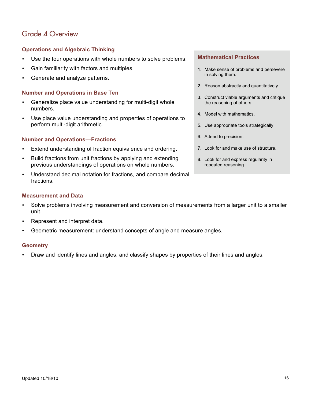### Grade 4 Overview

### **Operations and Algebraic Thinking**

- Use the four operations with whole numbers to solve problems.
- Gain familiarity with factors and multiples.
- Generate and analyze patterns.

#### **Number and Operations in Base Ten**

- Generalize place value understanding for multi-digit whole numbers.
- Use place value understanding and properties of operations to perform multi-digit arithmetic.

#### **Number and Operations—Fractions**

- Extend understanding of fraction equivalence and ordering.
- Build fractions from unit fractions by applying and extending previous understandings of operations on whole numbers.
- Understand decimal notation for fractions, and compare decimal fractions.

#### **Measurement and Data**

- Solve problems involving measurement and conversion of measurements from a larger unit to a smaller unit.
- Represent and interpret data.
- Geometric measurement: understand concepts of angle and measure angles.

#### **Geometry**

• Draw and identify lines and angles, and classify shapes by properties of their lines and angles.

- 1. Make sense of problems and persevere in solving them.
- 2. Reason abstractly and quantitatively.
- 3. Construct viable arguments and critique the reasoning of others.
- 4. Model with mathematics.
- 5. Use appropriate tools strategically.
- 6. Attend to precision.
- 7. Look for and make use of structure.
- 8. Look for and express regularity in repeated reasoning.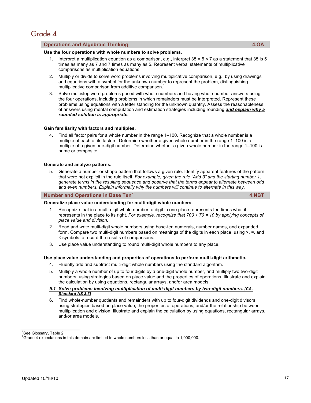#### **Operations and Algebraic Thinking 4.OA**

#### **Use the four operations with whole numbers to solve problems.**

- 1. Interpret a multiplication equation as a comparison, e.g., interpret  $35 = 5 \times 7$  as a statement that 35 is 5 times as many as 7 and 7 times as many as 5. Represent verbal statements of multiplicative comparisons as multiplication equations.
- 2. Multiply or divide to solve word problems involving multiplicative comparison, e.g., by using drawings and equations with a symbol for the unknown number to represent the problem, distinguishing multiplicative comparison from additive comparison.<sup>1</sup>
- 3. Solve multistep word problems posed with whole numbers and having whole-number answers using the four operations, including problems in which remainders must be interpreted. Represent these problems using equations with a letter standing for the unknown quantity. Assess the reasonableness of answers using mental computation and estimation strategies including rounding *and explain why a rounded solution is appropriate.*

#### **Gain familiarity with factors and multiples.**

4. Find all factor pairs for a whole number in the range 1–100. Recognize that a whole number is a multiple of each of its factors. Determine whether a given whole number in the range 1–100 is a multiple of a given one-digit number. Determine whether a given whole number in the range 1–100 is prime or composite.

#### **Generate and analyze patterns.**

5. Generate a number or shape pattern that follows a given rule. Identify apparent features of the pattern that were not explicit in the rule itself. *For example, given the rule "Add 3" and the starting number 1, generate terms in the resulting sequence and observe that the terms appear to alternate between odd and even numbers. Explain informally why the numbers will continue to alternate in this way.*

#### **Number and Operations in Base Ten<sup>2</sup> 4.NBT**

#### **Generalize place value understanding for multi-digit whole numbers.**

- 1. Recognize that in a multi-digit whole number, a digit in one place represents ten times what it represents in the place to its right. *For example, recognize that 700 ÷ 70 = 10 by applying concepts of place value and division.*
- 2. Read and write multi-digit whole numbers using base-ten numerals, number names, and expanded form. Compare two multi-digit numbers based on meanings of the digits in each place, using >, =, and < symbols to record the results of comparisons.
- 3. Use place value understanding to round multi-digit whole numbers to any place.

#### **Use place value understanding and properties of operations to perform multi-digit arithmetic.**

- 4. Fluently add and subtract multi-digit whole numbers using the standard algorithm.
- 5. Multiply a whole number of up to four digits by a one-digit whole number, and multiply two two-digit numbers, using strategies based on place value and the properties of operations. Illustrate and explain the calculation by using equations, rectangular arrays, and/or area models.
- *5.1 Solve problems involving multiplication of multi-digit numbers by two-digit numbers. (CA-Standard NS 3.3)*
- 6. Find whole-number quotients and remainders with up to four-digit dividends and one-digit divisors, using strategies based on place value, the properties of operations, and/or the relationship between multiplication and division. Illustrate and explain the calculation by using equations, rectangular arrays, and/or area models.

<sup>&</sup>lt;sup>1</sup>See Glossary, Table 2.

 ${}^{2}$ Grade 4 expectations in this domain are limited to whole numbers less than or equal to 1,000,000.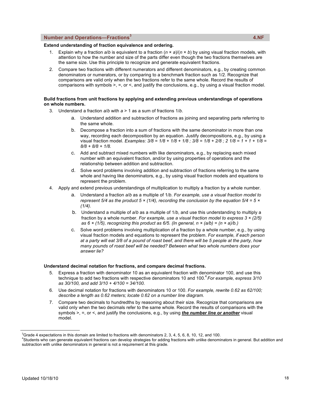#### **Number and Operations—Fractions<sup>3</sup> 4.NF**

#### **Extend understanding of fraction equivalence and ordering.**

- 1. Explain why a fraction *a*/*b* is equivalent to a fraction (*n* × *a*)/(*n* × *b*) by using visual fraction models, with attention to how the number and size of the parts differ even though the two fractions themselves are the same size. Use this principle to recognize and generate equivalent fractions.
- 2. Compare two fractions with different numerators and different denominators, e.g., by creating common denominators or numerators, or by comparing to a benchmark fraction such as 1/2. Recognize that comparisons are valid only when the two fractions refer to the same whole. Record the results of comparisons with symbols  $\geq$ ,  $\equiv$ , or  $\leq$ , and justify the conclusions, e.g., by using a visual fraction model.

#### **Build fractions from unit fractions by applying and extending previous understandings of operations on whole numbers.**

- 3. Understand a fraction *a*/*b* with *a* > 1 as a sum of fractions 1/*b*.
	- a. Understand addition and subtraction of fractions as joining and separating parts referring to the same whole.
	- b. Decompose a fraction into a sum of fractions with the same denominator in more than one way, recording each decomposition by an equation. Justify decompositions, e.g., by using a visual fraction model. *Examples: 3/8 = 1/8 + 1/8 + 1/8 ; 3/8 = 1/8 + 2/8 ; 2 1/8 = 1 + 1 + 1/8 = 8/8 + 8/8 + 1/8.*
	- c. Add and subtract mixed numbers with like denominators, e.g., by replacing each mixed number with an equivalent fraction, and/or by using properties of operations and the relationship between addition and subtraction.
	- d. Solve word problems involving addition and subtraction of fractions referring to the same whole and having like denominators, e.g., by using visual fraction models and equations to represent the problem.
- 4. Apply and extend previous understandings of multiplication to multiply a fraction by a whole number.
	- a. Understand a fraction *a*/*b* as a multiple of 1/*b*. *For example, use a visual fraction model to represent 5/4 as the product 5 × (1/4), recording the conclusion by the equation 5/4 = 5 × (1/4).*
	- b. Understand a multiple of *a*/*b* as a multiple of 1/*b*, and use this understanding to multiply a fraction by a whole number. *For example, use a visual fraction model to express 3 × (2/5) as 6 × (1/5), recognizing this product as 6/5. (In general, n × (a/b) = (n × a)/b.)*
	- c. Solve word problems involving multiplication of a fraction by a whole number, e.g., by using visual fraction models and equations to represent the problem. *For example, if each person at a party will eat 3/8 of a pound of roast beef, and there will be 5 people at the party, how many pounds of roast beef will be needed? Between what two whole numbers does your answer lie?*

#### **Understand decimal notation for fractions, and compare decimal fractions.**

- 5. Express a fraction with denominator 10 as an equivalent fraction with denominator 100, and use this technique to add two fractions with respective denominators 10 and 100.<sup>4</sup> For example, express 3/10 *as 30/100, and add 3/10 + 4/100 = 34/100.*
- 6. Use decimal notation for fractions with denominators 10 or 100. *For example, rewrite 0.62 as 62/100; describe a length as 0.62 meters; locate 0.62 on a number line diagram.*
- 7. Compare two decimals to hundredths by reasoning about their size. Recognize that comparisons are valid only when the two decimals refer to the same whole. Record the results of comparisons with the symbols >, =, or <, and justify the conclusions, e.g., by using *the number line or another* visual model.

 $^{3}$ Grade 4 expectations in this domain are limited to fractions with denominators 2, 3, 4, 5, 6, 8, 10, 12, and 100.

Students who can generate equivalent fractions can develop strategies for adding fractions with unlike denominators in general. But addition and subtraction with unlike denominators in general is not a requirement at this grade.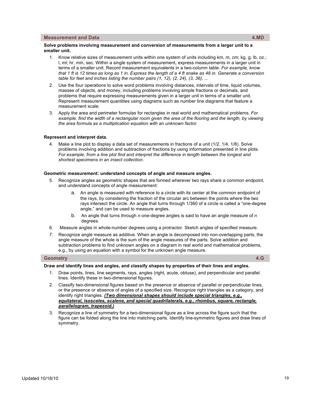#### **Measurement and Data 4.MD**

#### **Solve problems involving measurement and conversion of measurements from a larger unit to a smaller unit.**

- 1. Know relative sizes of measurement units within one system of units including km, m, cm; kg, g; lb, oz.; l, ml; hr, min, sec. Within a single system of measurement, express measurements in a larger unit in terms of a smaller unit. Record measurement equivalents in a two-column table. *For example, know that 1 ft is 12 times as long as 1 in. Express the length of a 4 ft snake as 48 in. Generate a conversion table for feet and inches listing the number pairs (1, 12), (2, 24), (3, 36), ...*
- 2. Use the four operations to solve word problems involving distances, intervals of time, liquid volumes, masses of objects, and money, including problems involving simple fractions or decimals, and problems that require expressing measurements given in a larger unit in terms of a smaller unit. Represent measurement quantities using diagrams such as number line diagrams that feature a measurement scale.
- 3. Apply the area and perimeter formulas for rectangles in real world and mathematical problems. *For example, find the width of a rectangular room given the area of the flooring and the length, by viewing the area formula as a multiplication equation with an unknown factor.*

#### **Represent and interpret data.**

4. Make a line plot to display a data set of measurements in fractions of a unit (1/2, 1/4, 1/8). Solve problems involving addition and subtraction of fractions by using information presented in line plots. *For example, from a line plot find and interpret the difference in length between the longest and shortest specimens in an insect collection.*

#### **Geometric measurement: understand concepts of angle and measure angles.**

- 5. Recognize angles as geometric shapes that are formed wherever two rays share a common endpoint, and understand concepts of angle measurement:
	- a. An angle is measured with reference to a circle with its center at the common endpoint of the rays, by considering the fraction of the circular arc between the points where the two rays intersect the circle. An angle that turns through 1/360 of a circle is called a "one-degree angle," and can be used to measure angles.
	- b. An angle that turns through *n* one-degree angles is said to have an angle measure of *n*  degrees.
- 6. Measure angles in whole-number degrees using a protractor. Sketch angles of specified measure.
- 7. Recognize angle measure as additive. When an angle is decomposed into non-overlapping parts, the angle measure of the whole is the sum of the angle measures of the parts. Solve addition and subtraction problems to find unknown angles on a diagram in real world and mathematical problems, e.g., by using an equation with a symbol for the unknown angle measure.

#### **Geometry 4.G**

#### **Draw and identify lines and angles, and classify shapes by properties of their lines and angles.**

- 1. Draw points, lines, line segments, rays, angles (right, acute, obtuse), and perpendicular and parallel lines. Identify these in two-dimensional figures.
- 2. Classify two-dimensional figures based on the presence or absence of parallel or perpendicular lines, or the presence or absence of angles of a specified size. Recognize right triangles as a category, and identify right triangles. *(Two dimensional shapes should include special triangles, e.g., equilateral, isosceles, scalene, and special quadrilaterals, e.g., rhombus, square, rectangle, parallelogram, trapezoid.)*
- Recognize a line of symmetry for a two-dimensional figure as a line across the figure such that the figure can be folded along the line into matching parts. Identify line-symmetric figures and draw lines of symmetry.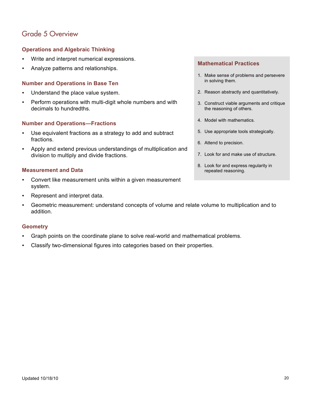### Grade 5 Overview

### **Operations and Algebraic Thinking**

- Write and interpret numerical expressions.
- Analyze patterns and relationships.

#### **Number and Operations in Base Ten**

- Understand the place value system.
- Perform operations with multi-digit whole numbers and with decimals to hundredths.

#### **Number and Operations—Fractions**

- Use equivalent fractions as a strategy to add and subtract fractions.
- Apply and extend previous understandings of multiplication and division to multiply and divide fractions.

#### **Measurement and Data**

- Convert like measurement units within a given measurement system.
- Represent and interpret data.

#### • Geometric measurement: understand concepts of volume and relate volume to multiplication and to addition.

#### **Geometry**

- Graph points on the coordinate plane to solve real-world and mathematical problems.
- Classify two-dimensional figures into categories based on their properties.

- 1. Make sense of problems and persevere in solving them.
- 2. Reason abstractly and quantitatively.
- 3. Construct viable arguments and critique the reasoning of others.
- 4. Model with mathematics.
- 5. Use appropriate tools strategically.
- 6. Attend to precision.
- 7. Look for and make use of structure.
- 8. Look for and express regularity in repeated reasoning.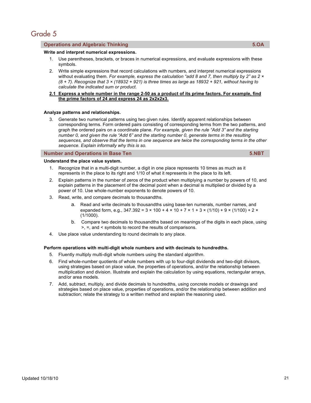## Grade 5

#### **Operations and Algebraic Thinking 5.OA**

#### **Write and interpret numerical expressions.**

- 1. Use parentheses, brackets, or braces in numerical expressions, and evaluate expressions with these symbols.
- 2. Write simple expressions that record calculations with numbers, and interpret numerical expressions without evaluating them. *For example, express the calculation "add 8 and 7, then multiply by 2" as 2 × (8 + 7). Recognize that 3 × (18932 + 921) is three times as large as 18932 + 921, without having to calculate the indicated sum or product.*

#### **2.1 Express a whole number in the range 2-50 as a product of its prime factors. For example, find the prime factors of 24 and express 24 as 2x2x2x3.**

#### **Analyze patterns and relationships.**

3. Generate two numerical patterns using two given rules. Identify apparent relationships between corresponding terms. Form ordered pairs consisting of corresponding terms from the two patterns, and graph the ordered pairs on a coordinate plane. *For example, given the rule "Add 3" and the starting number 0, and given the rule "Add 6" and the starting number 0, generate terms in the resulting sequences, and observe that the terms in one sequence are twice the corresponding terms in the other sequence. Explain informally why this is so.*

#### **Number and Operations in Base Ten 5.NBT**

#### **Understand the place value system.**

- 1. Recognize that in a multi-digit number, a digit in one place represents 10 times as much as it represents in the place to its right and 1/10 of what it represents in the place to its left.
- 2. Explain patterns in the number of zeros of the product when multiplying a number by powers of 10, and explain patterns in the placement of the decimal point when a decimal is multiplied or divided by a power of 10. Use whole-number exponents to denote powers of 10.
- 3. Read, write, and compare decimals to thousandths.
	- a. Read and write decimals to thousandths using base-ten numerals, number names, and expanded form, e.g.,  $347.392 = 3 \times 100 + 4 \times 10 + 7 \times 1 + 3 \times (1/10) + 9 \times (1/100) + 2 \times$ (1/1000).
	- b. Compare two decimals to thousandths based on meanings of the digits in each place, using >, =, and < symbols to record the results of comparisons.
- 4. Use place value understanding to round decimals to any place.

#### **Perform operations with multi-digit whole numbers and with decimals to hundredths.**

- 5. Fluently multiply multi-digit whole numbers using the standard algorithm.
- 6. Find whole-number quotients of whole numbers with up to four-digit dividends and two-digit divisors, using strategies based on place value, the properties of operations, and/or the relationship between multiplication and division. Illustrate and explain the calculation by using equations, rectangular arrays, and/or area models.
- 7. Add, subtract, multiply, and divide decimals to hundredths, using concrete models or drawings and strategies based on place value, properties of operations, and/or the relationship between addition and subtraction; relate the strategy to a written method and explain the reasoning used.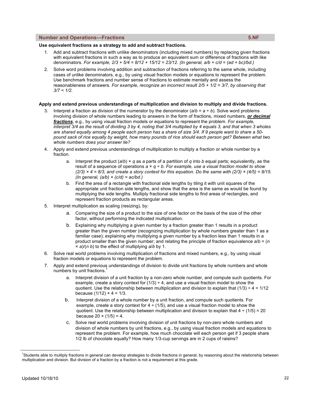#### **Number and Operations—Fractions 5.NF**

#### **Use equivalent fractions as a strategy to add and subtract fractions.**

- 1. Add and subtract fractions with unlike denominators (including mixed numbers) by replacing given fractions with equivalent fractions in such a way as to produce an equivalent sum or difference of fractions with like denominators. *For example, 2/3 + 5/4 = 8/12 + 15/12 = 23/12. (In general, a/b + c/d = (ad + bc)/bd.)*
- 2. Solve word problems involving addition and subtraction of fractions referring to the same whole, including cases of unlike denominators, e.g., by using visual fraction models or equations to represent the problem. Use benchmark fractions and number sense of fractions to estimate mentally and assess the reasonableness of answers. *For example, recognize an incorrect result 2/5 + 1/2 = 3/7, by observing that 3/7 < 1/2.*

#### **Apply and extend previous understandings of multiplication and division to multiply and divide fractions.**

- 3. Interpret a fraction as division of the numerator by the denominator  $(a/b = a \div b)$ . Solve word problems involving division of whole numbers leading to answers in the form of fractions, mixed numbers, *or decimal fractions*, e.g., by using visual fraction models or equations to represent the problem. *For example, interpret 3/4 as the result of dividing 3 by 4, noting that 3/4 multiplied by 4 equals 3, and that when 3 wholes are shared equally among 4 people each person has a share of size 3/4. If 9 people want to share a 50 pound sack of rice equally by weight, how many pounds of rice should each person get? Between what two whole numbers does your answer lie?*
- 4. Apply and extend previous understandings of multiplication to multiply a fraction or whole number by a fraction.
	- a. Interpret the product (*a*/*b*) × *q* as *a* parts of a partition of *q* into *b* equal parts; equivalently, as the result of a sequence of operations *a* × *q* ÷ *b*. *For example, use a visual fraction model to show (2/3) × 4 = 8/3, and create a story context for this equation. Do the same with (2/3) × (4/5) = 8/15. (In general, (a/b) × (c/d) = ac/bd.)*
	- b. Find the area of a rectangle with fractional side lengths by tiling it with unit squares of the appropriate unit fraction side lengths, and show that the area is the same as would be found by multiplying the side lengths. Multiply fractional side lengths to find areas of rectangles, and represent fraction products as rectangular areas.
- 5. Interpret multiplication as scaling (resizing), by:
	- a. Comparing the size of a product to the size of one factor on the basis of the size of the other factor, without performing the indicated multiplication.
	- b. Explaining why multiplying a given number by a fraction greater than 1 results in a product greater than the given number (recognizing multiplication by whole numbers greater than 1 as a familiar case); explaining why multiplying a given number by a fraction less than 1 results in a product smaller than the given number; and relating the principle of fraction equivalence  $a/b = (n \cdot n)$ × *a*)/(*n b*) to the effect of multiplying *a*/*b* by 1.
- 6. Solve real world problems involving multiplication of fractions and mixed numbers, e.g., by using visual fraction models or equations to represent the problem.
- 7. Apply and extend previous understandings of division to divide unit fractions by whole numbers and whole numbers by unit fractions.<sup>1</sup>
	- a. Interpret division of a unit fraction by a non-zero whole number, and compute such quotients. For example, create a story context for  $(1/3) \div 4$ , and use a visual fraction model to show the quotient. Use the relationship between multiplication and division to explain that (1/3) ÷ 4 = 1/12 because  $(1/12) \times 4 = 1/3$ .
	- b. Interpret division of a whole number by a unit fraction, and compute such quotients. For example, create a story context for  $4 \div (1/5)$ , and use a visual fraction model to show the quotient. Use the relationship between multiplication and division to explain that  $4 \div (1/5) = 20$ because  $20 \times (1/5) = 4$ .
	- c. Solve real world problems involving division of unit fractions by non-zero whole numbers and division of whole numbers by unit fractions, e.g., by using visual fraction models and equations to represent the problem. For example, how much chocolate will each person get if 3 people share 1/2 lb of chocolate equally? How many 1/3-cup servings are in 2 cups of raisins?

<sup>&</sup>lt;sup>1</sup>Students able to multiply fractions in general can develop strategies to divide fractions in general, by reasoning about the relationship between multiplication and division. But division of a fraction by a fraction is not a requirement at this grade.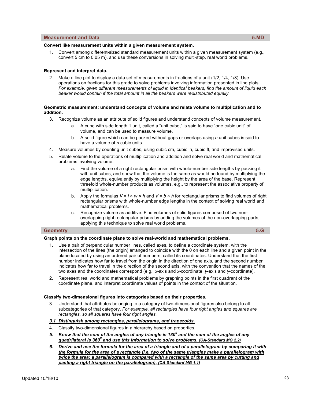#### **Measurement and Data 5.MD**

#### **Convert like measurement units within a given measurement system.**

1. Convert among different-sized standard measurement units within a given measurement system (e.g., convert 5 cm to 0.05 m), and use these conversions in solving multi-step, real world problems.

#### **Represent and interpret data.**

2. Make a line plot to display a data set of measurements in fractions of a unit (1/2, 1/4, 1/8). Use operations on fractions for this grade to solve problems involving information presented in line plots. *For example, given different measurements of liquid in identical beakers, find the amount of liquid each beaker would contain if the total amount in all the beakers were redistributed equally.*

#### **Geometric measurement: understand concepts of volume and relate volume to multiplication and to addition.**

- 3. Recognize volume as an attribute of solid figures and understand concepts of volume measurement.
	- a. A cube with side length 1 unit, called a "unit cube," is said to have "one cubic unit" of volume, and can be used to measure volume.
	- b. A solid figure which can be packed without gaps or overlaps using *n* unit cubes is said to have a volume of *n* cubic units.
- 4. Measure volumes by counting unit cubes, using cubic cm, cubic in, cubic ft, and improvised units.
- 5. Relate volume to the operations of multiplication and addition and solve real world and mathematical problems involving volume.
	- a. Find the volume of a right rectangular prism with whole-number side lengths by packing it with unit cubes, and show that the volume is the same as would be found by multiplying the edge lengths, equivalently by multiplying the height by the area of the base. Represent threefold whole-number products as volumes, e.g., to represent the associative property of multiplication.
	- b. Apply the formulas  $V = I \times w \times h$  and  $V = b \times h$  for rectangular prisms to find volumes of right rectangular prisms with whole-number edge lengths in the context of solving real world and mathematical problems.
	- c. Recognize volume as additive. Find volumes of solid figures composed of two nonoverlapping right rectangular prisms by adding the volumes of the non-overlapping parts, applying this technique to solve real world problems.

#### **Geometry 5.G**

#### **Graph points on the coordinate plane to solve real-world and mathematical problems.**

- 1. Use a pair of perpendicular number lines, called axes, to define a coordinate system, with the intersection of the lines (the origin) arranged to coincide with the 0 on each line and a given point in the plane located by using an ordered pair of numbers, called its coordinates. Understand that the first number indicates how far to travel from the origin in the direction of one axis, and the second number indicates how far to travel in the direction of the second axis, with the convention that the names of the two axes and the coordinates correspond (e.g., *x*-axis and *x*-coordinate, *y*-axis and *y*-coordinate).
- 2. Represent real world and mathematical problems by graphing points in the first quadrant of the coordinate plane, and interpret coordinate values of points in the context of the situation.

#### **Classify two-dimensional figures into categories based on their properties.**

3. Understand that attributes belonging to a category of two-dimensional figures also belong to all subcategories of that category. *For example, all rectangles have four right angles and squares are rectangles, so all squares have four right angles.*

#### *3.1 Distinguish among rectangles, parallelograms, and trapezoids.*

- Classify two-dimensional figures in a hierarchy based on properties.
- *5. Know that the sum of the angles of any triangle is 180<sup>0</sup> and the sum of the angles of any quadrilateral is 360<sup>0</sup> and use this information to solve problems. (CA-Standard MG 2.2)*
- *6. Derive and use the formula for the area of a triangle and of a parallelogram by comparing it with the formula for the area of a rectangle (i.e. two of the same triangles make a parallelogram with twice the area; a parallelogram is compared with a rectangle of the same area by cutting and pasting a right triangle on the parallelogram). (CA-Standard MG 1.1)*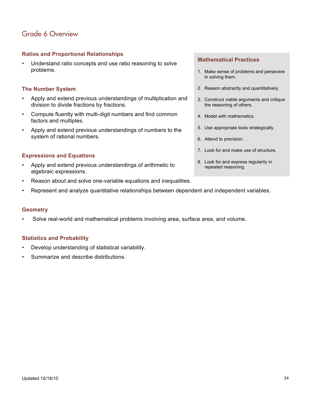### Grade 6 Overview

#### **Ratios and Proportional Relationships**

• Understand ratio concepts and use ratio reasoning to solve problems.

#### **The Number System**

- Apply and extend previous understandings of multiplication and division to divide fractions by fractions.
- Compute fluently with multi-digit numbers and find common factors and multiples.
- Apply and extend previous understandings of numbers to the system of rational numbers.

#### **Expressions and Equations**

- Apply and extend previous understandings of arithmetic to algebraic expressions.
- Reason about and solve one-variable equations and inequalities.
- Represent and analyze quantitative relationships between dependent and independent variables.

#### **Geometry**

• Solve real-world and mathematical problems involving area, surface area, and volume.

#### **Statistics and Probability**

- Develop understanding of statistical variability.
- Summarize and describe distributions.

- 1. Make sense of problems and persevere in solving them.
- 2. Reason abstractly and quantitatively.
- 3. Construct viable arguments and critique the reasoning of others.
- 4. Model with mathematics.
- 5. Use appropriate tools strategically.
- 6. Attend to precision.
- 7. Look for and make use of structure.
- 8. Look for and express regularity in repeated reasoning.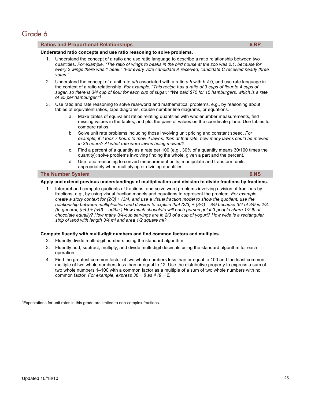# Grade 6

#### **Ratios and Proportional Relationships 6.RP**

#### **Understand ratio concepts and use ratio reasoning to solve problems.**

- 1. Understand the concept of a ratio and use ratio language to describe a ratio relationship between two quantities. *For example, "The ratio of wings to beaks in the bird house at the zoo was 2:1, because for every 2 wings there was 1 beak." "For every vote candidate A received, candidate C received nearly three votes."*
- 2. Understand the concept of a unit rate *a*/*b* associated with a ratio *a:b* with *b* ≠ 0, and use rate language in the context of a ratio relationship. *For example, "This recipe has a ratio of 3 cups of flour to 4 cups of sugar, so there is 3/4 cup of flour for each cup of sugar." "We paid \$75 for 15 hamburgers, which is a rate of \$5 per hamburger."*1
- 3. Use ratio and rate reasoning to solve real-world and mathematical problems, e.g., by reasoning about tables of equivalent ratios, tape diagrams, double number line diagrams, or equations.
	- a. Make tables of equivalent ratios relating quantities with wholenumber measurements, find missing values in the tables, and plot the pairs of values on the coordinate plane. Use tables to compare ratios.
	- b. Solve unit rate problems including those involving unit pricing and constant speed. *For example, if it took 7 hours to mow 4 lawns, then at that rate, how many lawns could be mowed in 35 hours? At what rate were lawns being mowed?*
	- c. Find a percent of a quantity as a rate per 100 (e.g., 30% of a quantity means 30/100 times the quantity); solve problems involving finding the whole, given a part and the percent.
	- d. Use ratio reasoning to convert measurement units; manipulate and transform units appropriately when multiplying or dividing quantities.

#### **The Number System 6.NS**

#### **Apply and extend previous understandings of multiplication and division to divide fractions by fractions.**

1. Interpret and compute quotients of fractions, and solve word problems involving division of fractions by fractions, e.g., by using visual fraction models and equations to represent the problem. *For example, create a story context for (2/3) ÷ (3/4) and use a visual fraction model to show the quotient; use the relationship between multiplication and division to explain that (2/3) ÷ (3/4) = 8/9 because 3/4 of 8/9 is 2/3. (In general, (a/b) ÷ (c/d) = ad/bc.) How much chocolate will each person get if 3 people share 1/2 lb of chocolate equally? How many 3/4-cup servings are in 2/3 of a cup of yogurt? How wide is a rectangular strip of land with length 3/4 mi and area 1/2 square mi?*

#### **Compute fluently with multi-digit numbers and find common factors and multiples.**

- 2. Fluently divide multi-digit numbers using the standard algorithm.
- 3. Fluently add, subtract, multiply, and divide multi-digit decimals using the standard algorithm for each operation.
- 4. Find the greatest common factor of two whole numbers less than or equal to 100 and the least common multiple of two whole numbers less than or equal to 12. Use the distributive property to express a sum of two whole numbers 1–100 with a common factor as a multiple of a sum of two whole numbers with no common factor. *For example, express 36 + 8 as 4 (9 + 2).*

<sup>&</sup>lt;sup>1</sup> Expectations for unit rates in this grade are limited to non-complex fractions.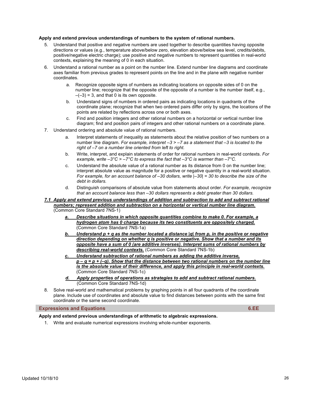#### **Apply and extend previous understandings of numbers to the system of rational numbers.**

- 5. Understand that positive and negative numbers are used together to describe quantities having opposite directions or values (e.g., temperature above/below zero, elevation above/below sea level, credits/debits, positive/negative electric charge); use positive and negative numbers to represent quantities in real-world contexts, explaining the meaning of 0 in each situation.
- 6. Understand a rational number as a point on the number line. Extend number line diagrams and coordinate axes familiar from previous grades to represent points on the line and in the plane with negative number coordinates.
	- a. Recognize opposite signs of numbers as indicating locations on opposite sides of 0 on the number line; recognize that the opposite of the opposite of a number is the number itself, e.g.,  $-(-3) = 3$ , and that 0 is its own opposite.
	- b. Understand signs of numbers in ordered pairs as indicating locations in quadrants of the coordinate plane; recognize that when two ordered pairs differ only by signs, the locations of the points are related by reflections across one or both axes.
	- c. Find and position integers and other rational numbers on a horizontal or vertical number line diagram; find and position pairs of integers and other rational numbers on a coordinate plane.
- 7. Understand ordering and absolute value of rational numbers.
	- a. Interpret statements of inequality as statements about the relative position of two numbers on a number line diagram. *For example, interpret –3 > –7 as a statement that –3 is located to the right of –7 on a number line oriented from left to right.*
	- b. Write, interpret, and explain statements of order for rational numbers in real-world contexts. *For example, write –3°C > –7°C to express the fact that –3°C is warmer than –7°C.*
	- c. Understand the absolute value of a rational number as its distance from 0 on the number line; interpret absolute value as magnitude for a positive or negative quantity in a real-world situation. *For example, for an account balance of –30 dollars, write |–30| = 30 to describe the size of the debt in dollars.*
	- d. Distinguish comparisons of absolute value from statements about order. *For example, recognize that an account balance less than –30 dollars represents a debt greater than 30 dollars.*

#### *7.1 Apply and extend previous understandings of addition and subtraction to add and subtract rational numbers; represent addition and subtraction on a horizontal or vertical number line diagram.* (Common Core Standard 7NS-1)

- *a. Describe situations in which opposite quantities combine to make 0. For example, a hydrogen atom has 0 charge because its two constituents are oppositely charged.* (Common Core Standard 7NS-1a)
- *b. Understand p + q as the number located a distance |q| from p, in the positive or negative direction depending on whether q is positive or negative. Show that a number and its opposite have a sum of 0 (are additive inverses). Interpret sums of rational numbers by describing real-world contexts.* (Common Core Standard 7NS-1b)
- *<u>Understand subtraction of rational numbers as adding the additive inverse,*</u> *p – q = p + (–q). Show that the distance between two rational numbers on the number line is the absolute value of their difference, and apply this principle in real-world contexts.* (Common Core Standard 7NS-1c)
- *d. Apply properties of operations as strategies to add and subtract rational numbers.* (Common Core Standard 7NS-1d)
- 8. Solve real-world and mathematical problems by graphing points in all four quadrants of the coordinate plane. Include use of coordinates and absolute value to find distances between points with the same first coordinate or the same second coordinate.

#### **Expressions and Equations 6.EE**

#### **Apply and extend previous understandings of arithmetic to algebraic expressions.**

1. Write and evaluate numerical expressions involving whole-number exponents.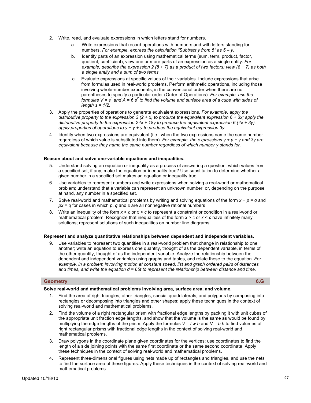- 2. Write, read, and evaluate expressions in which letters stand for numbers.
	- a. Write expressions that record operations with numbers and with letters standing for numbers. *For example, express the calculation "Subtract y from 5" as 5 – y.*
	- b. Identify parts of an expression using mathematical terms (sum, term, product, factor, quotient, coefficient); view one or more parts of an expression as a single entity. *For example, describe the expression 2 (8 + 7) as a product of two factors; view (8 + 7) as both a single entity and a sum of two terms.*
	- c. Evaluate expressions at specific values of their variables. Include expressions that arise from formulas used in real-world problems. Perform arithmetic operations, including those involving whole-number exponents, in the conventional order when there are no parentheses to specify a particular order (Order of Operations). *For example, use the formulas V = s<sup>3</sup> and A = 6 s2 to find the volume and surface area of a cube with sides of length s = 1/2.*
- 3. Apply the properties of operations to generate equivalent expressions. *For example, apply the distributive property to the expression 3 (2 + x) to produce the equivalent expression 6 + 3x; apply the distributive property to the expression 24x + 18y to produce the equivalent expression 6 (4x + 3y); apply properties of operations to y + y + y to produce the equivalent expression 3y.*
- 4. Identify when two expressions are equivalent (i.e., when the two expressions name the same number regardless of which value is substituted into them). *For example, the expressions y + y + y and 3y are equivalent because they name the same number regardless of which number y stands for.*

#### **Reason about and solve one-variable equations and inequalities.**

- 5. Understand solving an equation or inequality as a process of answering a question: which values from a specified set, if any, make the equation or inequality true? Use substitution to determine whether a given number in a specified set makes an equation or inequality true.
- 6. Use variables to represent numbers and write expressions when solving a real-world or mathematical problem; understand that a variable can represent an unknown number, or, depending on the purpose at hand, any number in a specified set.
- 7. Solve real-world and mathematical problems by writing and solving equations of the form *x* + *p* = *q* and *px* = *q* for cases in which *p*, *q* and *x* are all nonnegative rational numbers.
- 8. Write an inequality of the form *x* > *c* or *x* < *c* to represent a constraint or condition in a real-world or mathematical problem. Recognize that inequalities of the form *x* > *c* or *x* < *c* have infinitely many solutions; represent solutions of such inequalities on number line diagrams.

#### **Represent and analyze quantitative relationships between dependent and independent variables.**

9. Use variables to represent two quantities in a real-world problem that change in relationship to one another; write an equation to express one quantity, thought of as the dependent variable, in terms of the other quantity, thought of as the independent variable. Analyze the relationship between the dependent and independent variables using graphs and tables, and relate these to the equation. *For example, in a problem involving motion at constant speed, list and graph ordered pairs of distances and times, and write the equation d = 65t to represent the relationship between distance and time.*

#### **Geometry 6.G**

#### **Solve real-world and mathematical problems involving area, surface area, and volume.**

- 1. Find the area of right triangles, other triangles, special quadrilaterals, and polygons by composing into rectangles or decomposing into triangles and other shapes; apply these techniques in the context of solving real-world and mathematical problems.
- 2. Find the volume of a right rectangular prism with fractional edge lengths by packing it with unit cubes of the appropriate unit fraction edge lengths, and show that the volume is the same as would be found by multiplying the edge lengths of the prism. Apply the formulas *V = l w h* and *V = b h* to find volumes of right rectangular prisms with fractional edge lengths in the context of solving real-world and mathematical problems.
- Draw polygons in the coordinate plane given coordinates for the vertices; use coordinates to find the length of a side joining points with the same first coordinate or the same second coordinate. Apply these techniques in the context of solving real-world and mathematical problems.
- 4. Represent three-dimensional figures using nets made up of rectangles and triangles, and use the nets to find the surface area of these figures. Apply these techniques in the context of solving real-world and mathematical problems.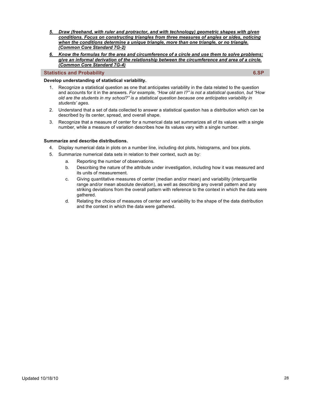- *5. Draw (freehand, with ruler and protractor, and with technology) geometric shapes with given conditions. Focus on constructing triangles from three measures of angles or sides, noticing when the conditions determine a unique triangle, more than one triangle, or no triangle. (Common Core Standard 7G-2)*
- *6. Know the formulas for the area and circumference of a circle and use them to solve problems; give an informal derivation of the relationship between the circumference and area of a circle. (Common Core Standard 7G-4)*

#### **Statistics and Probability 6.SP**

#### **Develop understanding of statistical variability.**

- 1. Recognize a statistical question as one that anticipates variability in the data related to the question and accounts for it in the answers. *For example, "How old am I?" is not a statistical question, but "How old are the students in my school?" is a statistical question because one anticipates variability in students' ages.*
- 2. Understand that a set of data collected to answer a statistical question has a distribution which can be described by its center, spread, and overall shape.
- 3. Recognize that a measure of center for a numerical data set summarizes all of its values with a single number, while a measure of variation describes how its values vary with a single number.

#### **Summarize and describe distributions.**

- 4. Display numerical data in plots on a number line, including dot plots, histograms, and box plots.
- 5. Summarize numerical data sets in relation to their context, such as by:
	- a. Reporting the number of observations.
	- b. Describing the nature of the attribute under investigation, including how it was measured and its units of measurement.
	- c. Giving quantitative measures of center (median and/or mean) and variability (interquartile range and/or mean absolute deviation), as well as describing any overall pattern and any striking deviations from the overall pattern with reference to the context in which the data were gathered.
	- d. Relating the choice of measures of center and variability to the shape of the data distribution and the context in which the data were gathered.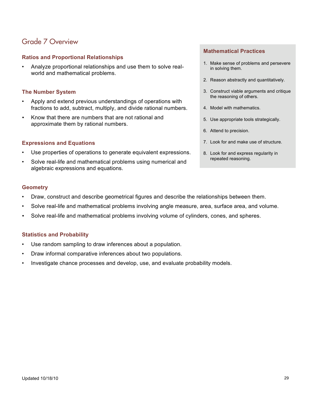### Grade 7 Overview

#### **Ratios and Proportional Relationships**

• Analyze proportional relationships and use them to solve realworld and mathematical problems.

#### **The Number System**

- Apply and extend previous understandings of operations with fractions to add, subtract, multiply, and divide rational numbers.
- Know that there are numbers that are not rational and approximate them by rational numbers.

#### **Expressions and Equations**

- Use properties of operations to generate equivalent expressions.
- Solve real-life and mathematical problems using numerical and algebraic expressions and equations.

#### **Mathematical Practices**

- 1. Make sense of problems and persevere in solving them.
- 2. Reason abstractly and quantitatively.
- 3. Construct viable arguments and critique the reasoning of others.
- 4. Model with mathematics.
- 5. Use appropriate tools strategically.
- 6. Attend to precision.
- 7. Look for and make use of structure.
- 8. Look for and express regularity in repeated reasoning.

#### **Geometry**

- Draw, construct and describe geometrical figures and describe the relationships between them.
- Solve real-life and mathematical problems involving angle measure, area, surface area, and volume.
- Solve real-life and mathematical problems involving volume of cylinders, cones, and spheres.

#### **Statistics and Probability**

- Use random sampling to draw inferences about a population.
- Draw informal comparative inferences about two populations.
- Investigate chance processes and develop, use, and evaluate probability models.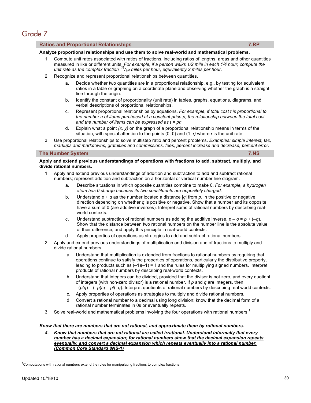# Grade 7

#### **Ratios and Proportional Relationships 7.RP**

#### **Analyze proportional relationships and use them to solve real-world and mathematical problems.**

- 1. Compute unit rates associated with ratios of fractions, including ratios of lengths, areas and other quantities measured in like or different units. For example, if a person walks 1/2 mile in each 1/4 hour, compute the<br>unit rate as the complex fraction <sup>1/2</sup>/<sub>1/4</sub> miles per hour, equivalently 2 miles per hour.
- 2. Recognize and represent proportional relationships between quantities.
	- a. Decide whether two quantities are in a proportional relationship, e.g., by testing for equivalent ratios in a table or graphing on a coordinate plane and observing whether the graph is a straight line through the origin.
	- b. Identify the constant of proportionality (unit rate) in tables, graphs, equations, diagrams, and verbal descriptions of proportional relationships.
	- c. Represent proportional relationships by equations. *For example, if total cost t is proportional to the number n of items purchased at a constant price p, the relationship between the total cost and the number of items can be expressed as t = pn*.
	- d. Explain what a point *(x, y)* on the graph of a proportional relationship means in terms of the situation, with special attention to the points (0, 0) and (1, *r)* where *r* is the unit rate.
- 3. Use proportional relationships to solve multistep ratio and percent problems. *Examples: simple interest, tax, markups and markdowns, gratuities and commissions, fees, percent increase and decrease, percent error.*

#### **The Number System 7.NS**

#### **Apply and extend previous understandings of operations with fractions to add, subtract, multiply, and divide rational numbers.**

- 1. Apply and extend previous understandings of addition and subtraction to add and subtract rational numbers; represent addition and subtraction on a horizontal or vertical number line diagram.
	- a. Describe situations in which opposite quantities combine to make 0. *For example, a hydrogen atom has 0 charge because its two constituents are oppositely charged.*
	- b. Understand  $p + q$  as the number located a distance  $|q|$  from p, in the positive or negative direction depending on whether *q* is positive or negative. Show that a number and its opposite have a sum of 0 (are additive inverses). Interpret sums of rational numbers by describing realworld contexts.
	- c. Understand subtraction of rational numbers as adding the additive inverse,  $p q = p + (-q)$ . Show that the distance between two rational numbers on the number line is the absolute value of their difference, and apply this principle in real-world contexts.
	- d. Apply properties of operations as strategies to add and subtract rational numbers.
- 2. Apply and extend previous understandings of multiplication and division and of fractions to multiply and divide rational numbers.
	- a. Understand that multiplication is extended from fractions to rational numbers by requiring that operations continue to satisfy the properties of operations, particularly the distributive property, leading to products such as  $(-1)(-1) = 1$  and the rules for multiplying signed numbers. Interpret products of rational numbers by describing real-world contexts.
	- b. Understand that integers can be divided, provided that the divisor is not zero, and every quotient of integers (with non-zero divisor) is a rational number. If *p* and *q* are integers, then –(*p*/*q*) = (–*p*)/*q* = *p*/(–*q*). Interpret quotients of rational numbers by describing real world contexts.
	- c. Apply properties of operations as strategies to multiply and divide rational numbers.
	- d. Convert a rational number to a decimal using long division; know that the decimal form of a rational number terminates in 0s or eventually repeats.
- 3. Solve real-world and mathematical problems involving the four operations with rational numbers.<sup>1</sup>

#### *Know that there are numbers that are not rational, and approximate them by rational numbers.*

*4. Know that numbers that are not rational are called irrational. Understand informally that every number has a decimal expansion; for rational numbers show that the decimal expansion repeats eventually, and convert a decimal expansion which repeats eventually into a rational number. (Common Core Standard 8NS-1)* 

<sup>1</sup> Computations with rational numbers extend the rules for manipulating fractions to complex fractions.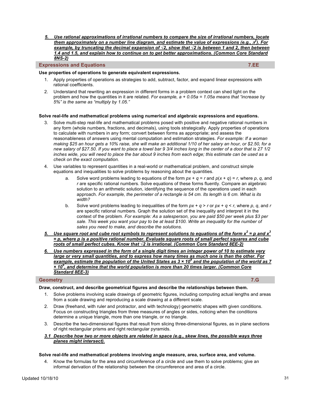*5. Use rational approximations of irrational numbers to compare the size of irrational numbers, locate them approximately on a number line diagram, and estimate the value of expressions (e.g., π<sup>2</sup> ). For example, by truncating the decimal expansion of √2, show that √2 is between 1 and 2, then between 1.4 and 1.5, and explain how to continue on to get better approximations. (Common Core Standard 8NS-2)*

#### **Expressions and Equations 7.EE**

#### **Use properties of operations to generate equivalent expressions.**

- 1. Apply properties of operations as strategies to add, subtract, factor, and expand linear expressions with rational coefficients.
- 2. Understand that rewriting an expression in different forms in a problem context can shed light on the problem and how the quantities in it are related. *For example, a + 0.05a = 1.05a means that "increase by 5%" is the same as "multiply by 1.05."*

#### **Solve real-life and mathematical problems using numerical and algebraic expressions and equations.**

- 3. Solve multi-step real-life and mathematical problems posed with positive and negative rational numbers in any form (whole numbers, fractions, and decimals), using tools strategically. Apply properties of operations to calculate with numbers in any form; convert between forms as appropriate; and assess the reasonableness of answers using mental computation and estimation strategies. *For example: If a woman making \$25 an hour gets a 10% raise, she will make an additional 1/10 of her salary an hour, or \$2.50, for a new salary of \$27.50. If you want to place a towel bar 9 3/4 inches long in the center of a door that is 27 1/2 inches wide, you will need to place the bar about 9 inches from each edge; this estimate can be used as a check on the exact computation.*
- 4. Use variables to represent quantities in a real-world or mathematical problem, and construct simple equations and inequalities to solve problems by reasoning about the quantities.
	- a. Solve word problems leading to equations of the form  $px + q = r$  and  $p(x + q) = r$ , where p, q, and *r* are specific rational numbers. Solve equations of these forms fluently. Compare an algebraic solution to an arithmetic solution, identifying the sequence of the operations used in each approach. *For example, the perimeter of a rectangle is 54 cm. Its length is 6 cm. What is its width?*
	- b. Solve word problems leading to inequalities of the form  $px + q > r$  or  $px + q < r$ , where p, q, and r are specific rational numbers. Graph the solution set of the inequality and interpret it in the context of the problem. *For example: As a salesperson, you are paid \$50 per week plus \$3 per sale. This week you want your pay to be at least \$100. Write an inequality for the number of sales you need to make, and describe the solutions.*
- 5. Use square root and cube root symbols to represent solutions to equations of the form  $x^2$  = p and  $x^3$ *= p, where p is a positive rational number. Evaluate square roots of small perfect squares and cube roots of small perfect cubes. Know that √2 is irrational. (Common Core Standard 8EE-2)*
- *6. Use numbers expressed in the form of a single digit times an integer power of 10 to estimate very large or very small quantities, and to express how many times as much one is than the other. For example, estimate the population of the United States as 3 × 10<sup>8</sup> and the population of the world as 7 × 10<sup>9</sup> , and determine that the world population is more than 20 times larger. (Common Core Standard 8EE-3)*

#### **Geometry 7.G**

#### **Draw, construct, and describe geometrical figures and describe the relationships between them.**

- 1. Solve problems involving scale drawings of geometric figures, including computing actual lengths and areas from a scale drawing and reproducing a scale drawing at a different scale.
- 2. Draw (freehand, with ruler and protractor, and with technology) geometric shapes with given conditions. Focus on constructing triangles from three measures of angles or sides, noticing when the conditions determine a unique triangle, more than one triangle, or no triangle.
- 3. Describe the two-dimensional figures that result from slicing three-dimensional figures, as in plane sections of right rectangular prisms and right rectangular pyramids.
- *3.1 Describe how two or more objects are related in space (e.g., skew lines, the possible ways three planes might intersect).*

#### **Solve real-life and mathematical problems involving angle measure, area, surface area, and volume.**

Know the formulas for the area and circumference of a circle and use them to solve problems; give an informal derivation of the relationship between the circumference and area of a circle.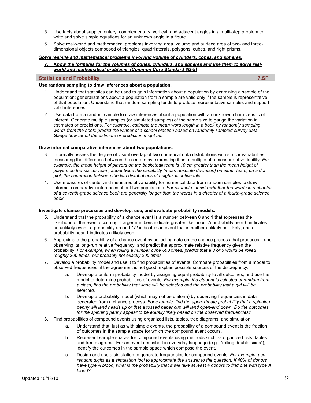- 5. Use facts about supplementary, complementary, vertical, and adjacent angles in a multi-step problem to write and solve simple equations for an unknown angle in a figure.
- 6. Solve real-world and mathematical problems involving area, volume and surface area of two- and threedimensional objects composed of triangles, quadrilaterals, polygons, cubes, and right prisms.

#### *Solve real-life and mathematical problems involving volume of cylinders, cones, and spheres.*

*7. Know the formulas for the volumes of cones, cylinders, and spheres and use them to solve realworld and mathematical problems. (Common Core Standard 8G-9)*

#### **Statistics and Probability 7.SP**

#### **Use random sampling to draw inferences about a population.**

- 1. Understand that statistics can be used to gain information about a population by examining a sample of the population; generalizations about a population from a sample are valid only if the sample is representative of that population. Understand that random sampling tends to produce representative samples and support valid inferences.
- 2. Use data from a random sample to draw inferences about a population with an unknown characteristic of interest. Generate multiple samples (or simulated samples) of the same size to gauge the variation in estimates or predictions. *For example, estimate the mean word length in a book by randomly sampling words from the book; predict the winner of a school election based on randomly sampled survey data. Gauge how far off the estimate or prediction might be.*

#### **Draw informal comparative inferences about two populations.**

- 3. Informally assess the degree of visual overlap of two numerical data distributions with similar variabilities, measuring the difference between the centers by expressing it as a multiple of a measure of variability. *For example, the mean height of players on the basketball team is 10 cm greater than the mean height of players on the soccer team, about twice the variability (mean absolute deviation) on either team; on a dot plot, the separation between the two distributions of heights is noticeable.*
- 4. Use measures of center and measures of variability for numerical data from random samples to draw informal comparative inferences about two populations. *For example, decide whether the words in a chapter of a seventh-grade science book are generally longer than the words in a chapter of a fourth-grade science book.*

#### **Investigate chance processes and develop, use, and evaluate probability models.**

- 5. Understand that the probability of a chance event is a number between 0 and 1 that expresses the likelihood of the event occurring. Larger numbers indicate greater likelihood. A probability near 0 indicates an unlikely event, a probability around 1/2 indicates an event that is neither unlikely nor likely, and a probability near 1 indicates a likely event.
- 6. Approximate the probability of a chance event by collecting data on the chance process that produces it and observing its long-run relative frequency, and predict the approximate relative frequency given the probability. *For example, when rolling a number cube 600 times, predict that a 3 or 6 would be rolled roughly 200 times, but probably not exactly 200 times.*
- 7. Develop a probability model and use it to find probabilities of events. Compare probabilities from a model to observed frequencies; if the agreement is not good, explain possible sources of the discrepancy.
	- a. Develop a uniform probability model by assigning equal probability to all outcomes, and use the model to determine probabilities of events. *For example, if a student is selected at random from a class, find the probability that Jane will be selected and the probability that a girl will be selected.*
	- b. Develop a probability model (which may not be uniform) by observing frequencies in data generated from a chance process. *For example, find the approximate probability that a spinning penny will land heads up or that a tossed paper cup will land open-end down. Do the outcomes for the spinning penny appear to be equally likely based on the observed frequencies?*
- 8. Find probabilities of compound events using organized lists, tables, tree diagrams, and simulation.
	- a. Understand that, just as with simple events, the probability of a compound event is the fraction of outcomes in the sample space for which the compound event occurs.
	- b. Represent sample spaces for compound events using methods such as organized lists, tables and tree diagrams. For an event described in everyday language (e.g., "rolling double sixes"), identify the outcomes in the sample space which compose the event.
	- c. Design and use a simulation to generate frequencies for compound events. *For example, use random digits as a simulation tool to approximate the answer to the question: If 40% of donors have type A blood, what is the probability that it will take at least 4 donors to find one with type A blood?*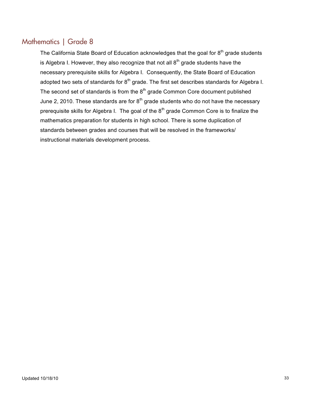### Mathematics | Grade 8

The California State Board of Education acknowledges that the goal for 8<sup>th</sup> grade students is Algebra I. However, they also recognize that not all  $8<sup>th</sup>$  grade students have the necessary prerequisite skills for Algebra I. Consequently, the State Board of Education adopted two sets of standards for  $8<sup>th</sup>$  grade. The first set describes standards for Algebra I. The second set of standards is from the  $8<sup>th</sup>$  grade Common Core document published June 2, 2010. These standards are for  $8<sup>th</sup>$  grade students who do not have the necessary prerequisite skills for Algebra I. The goal of the  $8<sup>th</sup>$  grade Common Core is to finalize the mathematics preparation for students in high school. There is some duplication of standards between grades and courses that will be resolved in the frameworks/ instructional materials development process.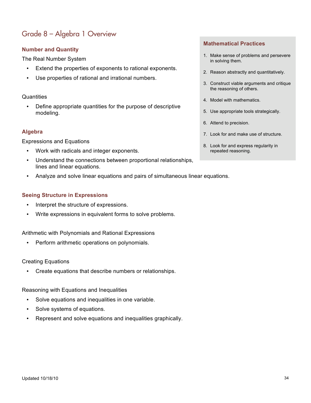# Grade 8 – Algebra 1 Overview

### **Number and Quantity**

The Real Number System

- Extend the properties of exponents to rational exponents.
- Use properties of rational and irrational numbers.

#### **Quantities**

• Define appropriate quantities for the purpose of descriptive modeling.

#### **Algebra**

Expressions and Equations

- Work with radicals and integer exponents.
- Understand the connections between proportional relationships, lines and linear equations.
- Analyze and solve linear equations and pairs of simultaneous linear equations.

#### **Seeing Structure in Expressions**

- Interpret the structure of expressions.
- Write expressions in equivalent forms to solve problems.

Arithmetic with Polynomials and Rational Expressions

• Perform arithmetic operations on polynomials.

#### Creating Equations

• Create equations that describe numbers or relationships.

Reasoning with Equations and Inequalities

- Solve equations and inequalities in one variable.
- Solve systems of equations.
- Represent and solve equations and inequalities graphically.

- 1. Make sense of problems and persevere in solving them.
- 2. Reason abstractly and quantitatively.
- 3. Construct viable arguments and critique the reasoning of others.
- 4. Model with mathematics.
- 5. Use appropriate tools strategically.
- 6. Attend to precision.
- 7. Look for and make use of structure.
- 8. Look for and express regularity in repeated reasoning.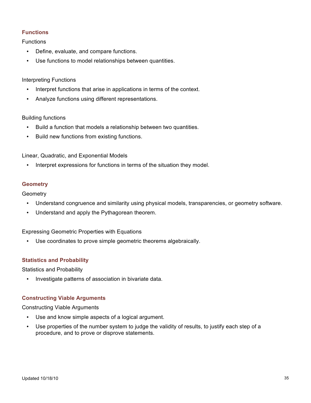### **Functions**

**Functions** 

- Define, evaluate, and compare functions.
- Use functions to model relationships between quantities.

#### Interpreting Functions

- Interpret functions that arise in applications in terms of the context.
- Analyze functions using different representations.

#### Building functions

- Build a function that models a relationship between two quantities.
- Build new functions from existing functions.

Linear, Quadratic, and Exponential Models

• Interpret expressions for functions in terms of the situation they model.

#### **Geometry**

**Geometry** 

- Understand congruence and similarity using physical models, transparencies, or geometry software.
- Understand and apply the Pythagorean theorem.

Expressing Geometric Properties with Equations

• Use coordinates to prove simple geometric theorems algebraically.

#### **Statistics and Probability**

Statistics and Probability

• Investigate patterns of association in bivariate data.

#### **Constructing Viable Arguments**

Constructing Viable Arguments

- Use and know simple aspects of a logical argument.
- Use properties of the number system to judge the validity of results, to justify each step of a procedure, and to prove or disprove statements.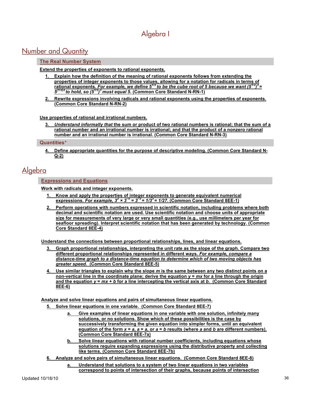# Algebra I

# Number and Quantity

**The Real Number System**

**Extend the properties of exponents to rational exponents.**

- **1. Explain how the definition of the meaning of rational exponents follows from extending the properties of integer exponents to those values, allowing for a notation for radicals in terms of rational exponents.** *For example, we define 51/3 to be the cube root of 5 because we want (51/3)*  $^{3}$ <sup>3</sup> = *5(1/3)3 to hold, so (51/3) 3 must equal 5.* **(Common Core Standard N-RN-1)**
- **2. Rewrite expressions involving radicals and rational exponents using the properties of exponents. (Common Core Standard N-RN-2)**

**Use properties of rational and irrational numbers.**

**3.** *Understand informally that* **the sum or product of two rational numbers is rational; that the sum of a rational number and an irrational number is irrational; and that the product of a nonzero rational number and an irrational number is irrational. (Common Core Standard N-RN-3)**

**Quantities**★

**4. Define appropriate quantities for the purpose of descriptive modeling. (Common Core Standard N-Q-2)**

# **Algebra**

### **Expressions and Equations**

**Work with radicals and integer exponents.**

- **1. Know and apply the properties of integer exponents to generate equivalent numerical expressions. For example,**  $3^2 \times 3^{-5} = 3^{-3} = 1/3^3 = 1/27$ **. (Common Core Standard 8EE-1)**
- **2. Perform operations with numbers expressed in scientific notation, including problems where both decimal and scientific notation are used. Use scientific notation and choose units of appropriate size for measurements of very large or very small quantities (e.g., use millimeters per year for seafloor spreading). Interpret scientific notation that has been generated by technology. (Common Core Standard 8EE-4)**

**Understand the connections between proportional relationships, lines, and linear equations.**

- **3. Graph proportional relationships, interpreting the unit rate as the slope of the graph. Compare two different proportional relationships represented in different ways.** *For example, compare a distance-time graph to a distance-time equation to determine which of two moving objects has greater speed.* **(Common Core Standard 8EE-5)**
- **4. Use similar triangles to explain why the slope** *m* **is the same between any two distinct points on a non-vertical line in the coordinate plane; derive the equation** *y* **=** *mx* **for a line through the origin and the equation** *y* **=** *mx* **+** *b* **for a line intercepting the vertical axis at** *b***. (Common Core Standard 8EE-6)**

**Analyze and solve linear equations and pairs of simultaneous linear equations.**

- **5. Solve linear equations in one variable. (Common Core Standard 8EE-7)**
	- **Give examples of linear equations in one variable with one solution, infinitely many solutions, or no solutions. Show which of these possibilities is the case by successively transforming the given equation into simpler forms, until an equivalent**  equation of the form  $x = a$ ,  $a = a$ , or  $a = b$  results (where  $a$  and  $b$  are different numbers). **(Common Core Standard 8EE-7a)**
	- **b. Solve linear equations with rational number coefficients, including equations whose solutions require expanding expressions using the distributive property and collecting like terms. (Common Core Standard 8EE-7b)**
- **6. Analyze and solve pairs of simultaneous linear equations. (Common Core Standard 8EE-8)**
	- **a. Understand that solutions to a system of two linear equations in two variables correspond to points of intersection of their graphs, because points of intersection**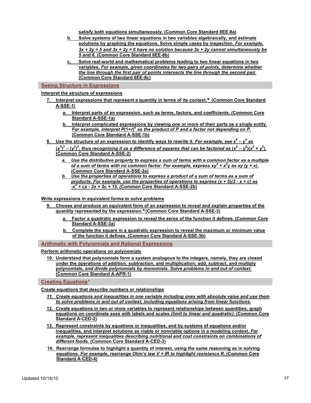**satisfy both equations simultaneously. (Common Core Standard 8EE-8a)**

- **b. Solve systems of two linear equations in two variables algebraically, and estimate solutions by graphing the equations. Solve simple cases by inspection.** *For example, 3x + 2y = 5 and 3x + 2y = 6 have no solution because 3x + 2y cannot simultaneously be 5 and 6.* **(Common Core Standard 8EE-8b)**
- **c. Solve real-world and mathematical problems leading to two linear equations in two variables.** *For example, given coordinates for two pairs of points, determine whether the line through the first pair of points intersects the line through the second pair.*  **(Common Core Standard 8EE-8c)**

**Seeing Structure in Expressions**

**Interpret the structure of expressions**

- **7. Interpret expressions that represent a quantity in terms of its context.**★ **(Common Core Standard A-SSE-1)**
	- **a. Interpret parts of an expression, such as terms, factors, and coefficients. (Common Core Standard A-SSE-1a)**
	- **b. Interpret complicated expressions by viewing one or more of their parts as a single entity.**  *For example, interpret P***(1+***r***) <sup>n</sup>** *as the product of P and a factor not depending on P.*  **(Common Core Standard A-SSE-1b)**
- 8. Use the structure of an expression to identify ways to rewrite it. For example, see  $x^4 y^4$  as
	- $(x^2)^2 (y^2)^2$ , thus recognizing it as a difference of squares that can be factored as  $(x^2 y^2)(x^2 + y^2)$ . **(Common Core Standard A-SSE-2)**
		- Use the distributive property to express a sum of terms with a common factor as a multiple *<u>of a sum of terms with no common factor. For example, express*  $xy^2 + x^2y$  *as xy (y + x).*</u> **(Common Core Standard A-SSE-2a)**
		- *b. Use the properties of operations to express a product of a sum of terms as a sum of products. For example, use the properties of operations to express (x + 5)(3 - x + c) as -x<sup>2</sup> + cx - 2x + 5c + 15.* **(Common Core Standard A-SSE-2b)**

**Write expressions in equivalent forms to solve problems**

- **9. Choose and produce an equivalent form of an expression to reveal and explain properties of the quantity represented by the expression.**★**(Common Core Standard A-SSE-3)**
	- **a. Factor a quadratic expression to reveal the zeros of the function it defines. (Common Core Standard A-SSE-3a)**
	- **b. Complete the square in a quadratic expression to reveal the maximum or minimum value of the function it defines. (Common Core Standard A-SSE-3b)**

**Arithmetic with Polynomials and Rational Expressions**

**Perform arithmetic operations on polynomials**

**10. Understand that polynomials form a system analogous to the integers, namely, they are closed under the operations of addition, subtraction, and multiplication; add, subtract, and multiply polynomials***, and divide polynomials by monomials. Solve problems in and out of context.*  **(Common Core Standard A-APR-1)**

**Creating Equations**★

**Create equations that describe numbers or relationships**

- *11. Create equations and inequalities in one variable including ones with absolute value and use them to solve problems in and out of context, including equations arising from linear functions.*
- **12. Create equations in two or more variables to represent relationships between quantities; graph equations on coordinate axes with labels and scales** *(limit to linear and quadratic).* **(Common Core Standard A-CED-2)**
- **13. Represent constraints by equations or inequalities, and by systems of equations and/or inequalities, and interpret solutions as viable or nonviable options in a modeling context.** *For example, represent inequalities describing nutritional and cost constraints on combinations of different foods.* **(Common Core Standard A-CED-3)**
- **14. Rearrange formulas to highlight a quantity of interest, using the same reasoning as in solving equations.** *For example, rearrange Ohm's law V = IR to highlight resistance R.* **(Common Core Standard A-CED-4)**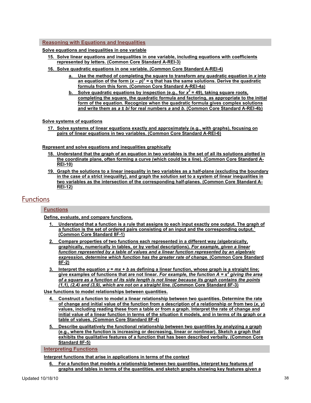**Reasoning with Equations and Inequalities**

**Solve equations and inequalities in one variable**

- **15. Solve linear equations and inequalities in one variable, including equations with coefficients represented by letters. (Common Core Standard A-REI-3)**
- **16. Solve quadratic equations in one variable. (Common Core Standard A-REI-4)**
	- **a. Use the method of completing the square to transform any quadratic equation in** *x* **into**  an equation of the form  $(x - p)^2 = q$  that has the same solutions. Derive the quadratic **formula from this form. (Common Core Standard A-REI-4a)**
	- **<u>Solve quadratic equations by inspection (e.g., for**  $x^2$  **= 49), taking square roots,</u> completing the square, the quadratic formula and factoring, as appropriate to the initial form of the equation. Recognize when the quadratic formula gives complex solutions and write them as** *a* **±** *bi* **for real numbers** *a* **and** *b***. (Common Core Standard A-REI-4b)**

### **Solve systems of equations**

**17. Solve systems of linear equations exactly and approximately (e.g., with graphs), focusing on pairs of linear equations in two variables. (Common Core Standard A-REI-6)**

### **Represent and solve equations and inequalities graphically**

- **18. Understand that the graph of an equation in two variables is the set of all its solutions plotted in the coordinate plane, often forming a curve (which could be a line). (Common Core Standard A-REI-10)**
- **19. Graph the solutions to a linear inequality in two variables as a half-plane (excluding the boundary in the case of a strict inequality), and graph the solution set to a system of linear inequalities in two variables as the intersection of the corresponding half-planes. (Common Core Standard A-REI-12)**

## **Functions**

### **Functions**

**Define, evaluate, and compare functions.**

- **1. Understand that a function is a rule that assigns to each input exactly one output. The graph of a function is the set of ordered pairs consisting of an input and the corresponding output.<sup>1</sup> (Common Core Standard 8F-1)**
- **2. Compare properties of two functions each represented in a different way (algebraically, graphically, numerically in tables, or by verbal descriptions).** *For example, given a linear function represented by a table of values and a linear function represented by an algebraic expression, determine which function has the greater rate of change.* **(Common Core Standard 8F-2)**
- Interpret the equation  $y = mx + b$  as defining a linear function, whose graph is a straight line; **give examples of functions that are not linear.** *For example, the function A = s<sup>2</sup> giving the area of a square as a function of its side length is not linear because its graph contains the points (1,1), (2,4) and (3,9), which are not on a straight line.* **(Common Core Standard 8F-3)**

**Use functions to model relationships between quantities.**

- **4. Construct a function to model a linear relationship between two quantities. Determine the rate of change and initial value of the function from a description of a relationship or from two (***x***,** *y***) values, including reading these from a table or from a graph. Interpret the rate of change and initial value of a linear function in terms of the situation it models, and in terms of its graph or a table of values. (Common Core Standard 8F-4)**
- **5. Describe qualitatively the functional relationship between two quantities by analyzing a graph (e.g., where the function is increasing or decreasing, linear or nonlinear). Sketch a graph that exhibits the qualitative features of a function that has been described verbally. (Common Core Standard 8F-5)**

**Interpreting Functions**

**Interpret functions that arise in applications in terms of the context**

**6. For a function that models a relationship between two quantities, interpret key features of graphs and tables in terms of the quantities, and sketch graphs showing key features given a**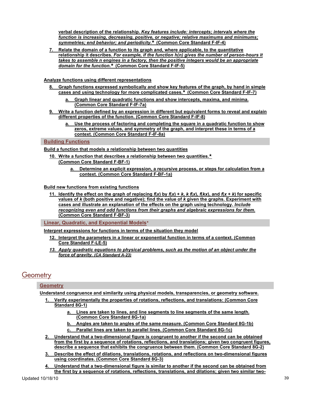**verbal description of the relationship.** *Key features include: intercepts; intervals where the function is increasing, decreasing, positive, or negative; relative maximums and minimums; symmetries; end behavior; and periodicity.* ★ **(Common Core Standard F-IF-4)**

**7. Relate the domain of a function to its graph and, where applicable, to the quantitative relationship it describes.** *For example, if the function h(n) gives the number of person-hours it takes to assemble n engines in a factory, then the positive integers would be an appropriate domain for the function.* ★ **(Common Core Standard F-IF-5)**

**Analyze functions using different representations**

- **8. Graph functions expressed symbolically and show key features of the graph, by hand in simple cases and using technology for more complicated cases***.* ★ **(Common Core Standard F-IF-7)**
	- **a. Graph linear and quadratic functions and show intercepts, maxima, and minima. (Common Core Standard F-IF-7a)**
- **9. Write a function defined by an expression in different but equivalent forms to reveal and explain different properties of the function. (Common Core Standard F-IF-8)**
	- **a. Use the process of factoring and completing the square in a quadratic function to show zeros, extreme values, and symmetry of the graph, and interpret these in terms of a context. (Common Core Standard F-IF-8a)**

### **Building Functions**

**Build a function that models a relationship between two quantities**

- **10. Write a function that describes a relationship between two quantities.**★ **(Common Core Standard F-BF-1)**
	- **a. Determine an explicit expression, a recursive process, or steps for calculation from a context. (Common Core Standard F-BF-1a)**

**Build new functions from existing functions**

11. Identify the effect on the graph of replacing  $f(x)$  by  $f(x) + k$ ,  $k f(x)$ ,  $f(kx)$ , and  $f(x + k)$  for specific **values of** *k* **(both positive and negative); find the value of** *k* **given the graphs. Experiment with cases and illustrate an explanation of the effects on the graph using technology.** *Include recognizing even and odd functions from their graphs and algebraic expressions for them.*  **(Common Core Standard F-BF-3)**

**Linear, Quadratic, and Exponential Models**★

**Interpret expressions for functions in terms of the situation they model**

- **12. Interpret the parameters in a linear or exponential function in terms of a context. (Common Core Standard F-LE-5)**
- *13. Apply quadratic equations to physical problems, such as the motion of an object under the force of gravity. (CA Standard A-23)*

## **Geometry**

### **Geometry**

**Understand congruence and similarity using physical models, transparencies, or geometry software.** 

- **1. Verify experimentally the properties of rotations, reflections, and translations: (Common Core Standard 8G-1)**
	- **a. Lines are taken to lines, and line segments to line segments of the same length. (Common Core Standard 8G-1a)**
	- **b. Angles are taken to angles of the same measure. (Common Core Standard 8G-1b) Parallel lines are taken to parallel lines. (Common Core Standard 8G-1c)**
- **2. Understand that a two-dimensional figure is congruent to another if the second can be obtained from the first by a sequence of rotations, reflections, and translations; given two congruent figures, describe a sequence that exhibits the congruence between them. (Common Core Standard 8G-2)**
- **3. Describe the effect of dilations, translations, rotations, and reflections on two-dimensional figures using coordinates. (Common Core Standard 8G-3)**
- **4. Understand that a two-dimensional figure is similar to another if the second can be obtained from the first by a sequence of rotations, reflections, translations, and dilations; given two similar two-**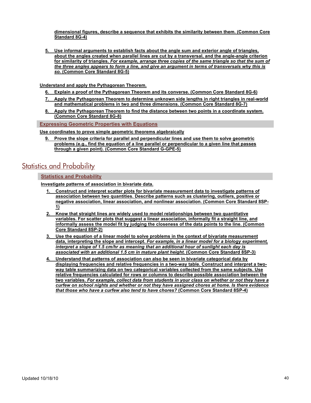**dimensional figures, describe a sequence that exhibits the similarity between them. (Common Core Standard 8G-4)**

**5. Use informal arguments to establish facts about the angle sum and exterior angle of triangles, about the angles created when parallel lines are cut by a transversal, and the angle-angle criterion for similarity of triangles.** *For example, arrange three copies of the same triangle so that the sum of the three angles appears to form a line, and give an argument in terms of transversals why this is so.* **(Common Core Standard 8G-5)**

**Understand and apply the Pythagorean Theorem.**

- **6. Explain a proof of the Pythagorean Theorem and its converse. (Common Core Standard 8G-6)**
- **7. Apply the Pythagorean Theorem to determine unknown side lengths in right triangles in real-world and mathematical problems in two and three dimensions. (Common Core Standard 8G-7)**
- **8. Apply the Pythagorean Theorem to find the distance between two points in a coordinate system. (Common Core Standard 8G-8)**

**Expressing Geometric Properties with Equations**

**Use coordinates to prove simple geometric theorems algebraically**

**9. Prove the slope criteria for parallel and perpendicular lines and use them to solve geometric problems (e.g., find the equation of a line parallel or perpendicular to a given line that passes through a given point). (Common Core Standard G-GPE-5)**

# Statistics and Probability

### **Statistics and Probability**

**Investigate patterns of association in bivariate data.**

- **1. Construct and interpret scatter plots for bivariate measurement data to investigate patterns of association between two quantities. Describe patterns such as clustering, outliers, positive or negative association, linear association, and nonlinear association. (Common Core Standard 8SP-1)**
- **2. Know that straight lines are widely used to model relationships between two quantitative variables. For scatter plots that suggest a linear association, informally fit a straight line, and informally assess the model fit by judging the closeness of the data points to the line. (Common Core Standard 8SP-2)**
- **3. Use the equation of a linear model to solve problems in the context of bivariate measurement data, interpreting the slope and intercept.** *For example, in a linear model for a biology experiment, interpret a slope of 1.5 cm/hr as meaning that an additional hour of sunlight each day is associated with an additional 1.5 cm in mature plant height.* **(Common Core Standard 8SP-3)**
- **4. Understand that patterns of association can also be seen in bivariate categorical data by displaying frequencies and relative frequencies in a two-way table. Construct and interpret a twoway table summarizing data on two categorical variables collected from the same subjects. Use relative frequencies calculated for rows or columns to describe possible association between the two variables.** *For example, collect data from students in your class on whether or not they have a curfew on school nights and whether or not they have assigned chores at home. Is there evidence that those who have a curfew also tend to have chores?* **(Common Core Standard 8SP-4)**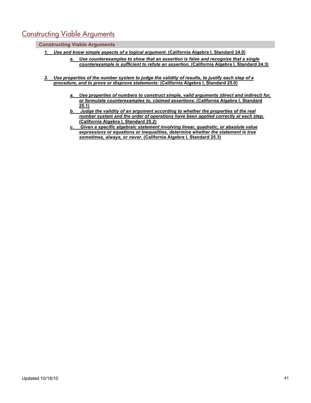# **Constructing Viable Arguments**

### **Constructing Viable Arguments**

- *1. Use and know simple aspects of a logical argument***. (California Algebra I, Standard 24.0)**
	- *a. Use counterexamples to show that an assertion is false and recognize that a single counterexample is sufficient to refute an assertion.* **(California Algebra I, Standard 24.3)**
- *2. Use properties of the number system to judge the validity of results, to justify each step of a procedure, and to prove or disprove statements:* **(California Algebra I, Standard 25.0)**
	- *a. Use properties of numbers to construct simple, valid arguments (direct and indirect) for, or formulate counterexamples to, claimed assertions.* **(California Algebra I, Standard 25.1)**
	- *b. Judge the validity of an argument according to whether the properties of the real number system and the order of operations have been applied correctly at each step.*  **(California Algebra I, Standard 25.2)**
	- *c. Given a specific algebraic statement involving linear, quadratic, or absolute value expressions or equations or inequalities, determine whether the statement is true sometimes, always, or never.* **(California Algebra I, Standard 25.3)**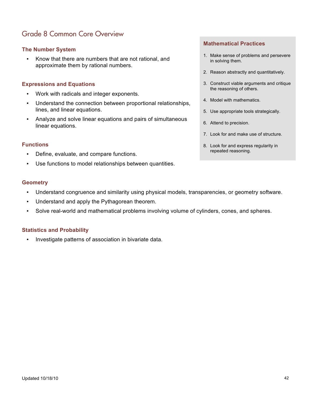# Grade 8 Common Core Overview

### **The Number System**

• Know that there are numbers that are not rational, and approximate them by rational numbers.

### **Expressions and Equations**

- Work with radicals and integer exponents.
- Understand the connection between proportional relationships, lines, and linear equations.
- Analyze and solve linear equations and pairs of simultaneous linear equations.

### **Functions**

- Define, evaluate, and compare functions.
- Use functions to model relationships between quantities.

### **Geometry**

- Understand congruence and similarity using physical models, transparencies, or geometry software.
- Understand and apply the Pythagorean theorem.
- Solve real-world and mathematical problems involving volume of cylinders, cones, and spheres.

### **Statistics and Probability**

• Investigate patterns of association in bivariate data.

### **Mathematical Practices**

- 1. Make sense of problems and persevere in solving them.
- 2. Reason abstractly and quantitatively.
- 3. Construct viable arguments and critique the reasoning of others.
- 4. Model with mathematics.
- 5. Use appropriate tools strategically.
- 6. Attend to precision.
- 7. Look for and make use of structure.
- 8. Look for and express regularity in repeated reasoning.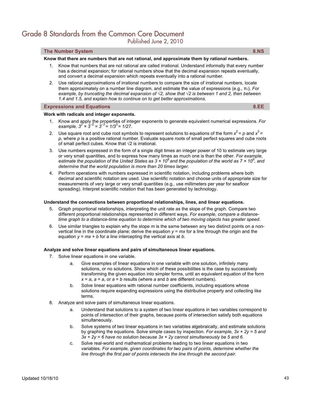# Grade 8 Standards from the Common Core Document

Published June 2, 2010

### **The Number System 8.NS**

**Know that there are numbers that are not rational, and approximate them by rational numbers.**

- 1. Know that numbers that are not rational are called irrational. Understand informally that every number has a decimal expansion; for rational numbers show that the decimal expansion repeats eventually, and convert a decimal expansion which repeats eventually into a rational number.
- 2. Use rational approximations of irrational numbers to compare the size of irrational numbers, locate them approximately on a number line diagram, and estimate the value of expressions (e.g.,  $\pi_2$ ). *For example, by truncating the decimal expansion of √2, show that √2 is between 1 and 2, then between 1.4 and 1.5, and explain how to continue on to get better approximations.*

### **Expressions and Equations 8.EE**

#### **Work with radicals and integer exponents.**

- 1. Know and apply the properties of integer exponents to generate equivalent numerical expressions. *For example, 3<sup>2</sup> × 3–5 = 3–3= 1/33= 1/27.*
- 2. Use square root and cube root symbols to represent solutions to equations of the form  $x^2 = p$  and  $x^3 =$ *p*, where *p* is a positive rational number. Evaluate square roots of small perfect squares and cube roots of small perfect cubes. Know that  $\sqrt{2}$  is irrational.
- 3. Use numbers expressed in the form of a single digit times an integer power of 10 to estimate very large or very small quantities, and to express how many times as much one is than the other. *For example, estimate the population of the United States as 3 × 108 and the population of the world as 7 × 10<sup>9</sup> , and determine that the world population is more than 20 times larger.*
- 4. Perform operations with numbers expressed in scientific notation, including problems where both decimal and scientific notation are used. Use scientific notation and choose units of appropriate size for measurements of very large or very small quantities (e.g., use millimeters per year for seafloor spreading). Interpret scientific notation that has been generated by technology.

#### **Understand the connections between proportional relationships, lines, and linear equations.**

- 5. Graph proportional relationships, interpreting the unit rate as the slope of the graph. Compare two different proportional relationships represented in different ways. *For example, compare a distancetime graph to a distance-time equation to determine which of two moving objects has greater speed.*
- 6. Use similar triangles to explain why the slope *m* is the same between any two distinct points on a nonvertical line in the coordinate plane; derive the equation  $y = mx$  for a line through the origin and the equation  $y = mx + b$  for a line intercepting the vertical axis at *b*.

#### **Analyze and solve linear equations and pairs of simultaneous linear equations.**

- 7. Solve linear equations in one variable.
	- a. Give examples of linear equations in one variable with one solution, infinitely many solutions, or no solutions. Show which of these possibilities is the case by successively transforming the given equation into simpler forms, until an equivalent equation of the form  $x = a$ ,  $a = a$ , or  $a = b$  results (where  $a$  and  $b$  are different numbers).
	- b. Solve linear equations with rational number coefficients, including equations whose solutions require expanding expressions using the distributive property and collecting like terms.
- 8. Analyze and solve pairs of simultaneous linear equations.
	- a. Understand that solutions to a system of two linear equations in two variables correspond to points of intersection of their graphs, because points of intersection satisfy both equations simultaneously.
	- b. Solve systems of two linear equations in two variables algebraically, and estimate solutions by graphing the equations. Solve simple cases by inspection. *For example, 3x + 2y = 5 and 3x + 2y = 6 have no solution because 3x + 2y cannot simultaneously be 5 and 6.*
	- c. Solve real-world and mathematical problems leading to two linear equations in two variables. *For example, given coordinates for two pairs of points, determine whether the line through the first pair of points intersects the line through the second pair.*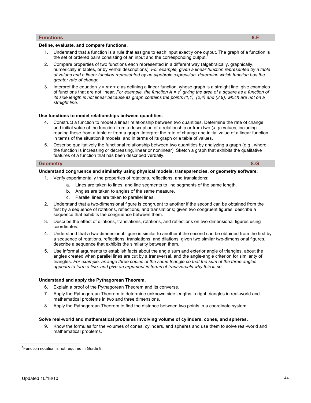### **Functions 8.F**

#### **Define, evaluate, and compare functions.**

- 1. Understand that a function is a rule that assigns to each input exactly one output. The graph of a function is the set of ordered pairs consisting of an input and the corresponding output.
- 2. Compare properties of two functions each represented in a different way (algebraically, graphically, numerically in tables, or by verbal descriptions). *For example, given a linear function represented by a table of values and a linear function represented by an algebraic expression, determine which function has the greater rate of change.*
- 3. Interpret the equation  $y = mx + b$  as defining a linear function, whose graph is a straight line; give examples of functions that are not linear. *For example, the function A = s<sup>2</sup> giving the area of a square as a function of its side length is not linear because its graph contains the points (1,1), (2,4) and (3,9), which are not on a straight line.*

### **Use functions to model relationships between quantities.**

- 4. Construct a function to model a linear relationship between two quantities. Determine the rate of change and initial value of the function from a description of a relationship or from two (*x*, *y*) values, including reading these from a table or from a graph. Interpret the rate of change and initial value of a linear function in terms of the situation it models, and in terms of its graph or a table of values.
- 5. Describe qualitatively the functional relationship between two quantities by analyzing a graph (e.g., where the function is increasing or decreasing, linear or nonlinear). Sketch a graph that exhibits the qualitative features of a function that has been described verbally.

### **Geometry 8.G**

### **Understand congruence and similarity using physical models, transparencies, or geometry software.**

- 1. Verify experimentally the properties of rotations, reflections, and translations:
	- a. Lines are taken to lines, and line segments to line segments of the same length.
	- b. Angles are taken to angles of the same measure.
	- c. Parallel lines are taken to parallel lines.
- 2. Understand that a two-dimensional figure is congruent to another if the second can be obtained from the first by a sequence of rotations, reflections, and translations; given two congruent figures, describe a sequence that exhibits the congruence between them.
- 3. Describe the effect of dilations, translations, rotations, and reflections on two-dimensional figures using coordinates.
- 4. Understand that a two-dimensional figure is similar to another if the second can be obtained from the first by a sequence of rotations, reflections, translations, and dilations; given two similar two-dimensional figures, describe a sequence that exhibits the similarity between them.
- 5. Use informal arguments to establish facts about the angle sum and exterior angle of triangles, about the angles created when parallel lines are cut by a transversal, and the angle-angle criterion for similarity of triangles. *For example, arrange three copies of the same triangle so that the sum of the three angles appears to form a line, and give an argument in terms of transversals why this is so.*

#### **Understand and apply the Pythagorean Theorem.**

- 6. Explain a proof of the Pythagorean Theorem and its converse.
- 7. Apply the Pythagorean Theorem to determine unknown side lengths in right triangles in real-world and mathematical problems in two and three dimensions.
- 8. Apply the Pythagorean Theorem to find the distance between two points in a coordinate system.

#### **Solve real-world and mathematical problems involving volume of cylinders, cones, and spheres.**

9. Know the formulas for the volumes of cones, cylinders, and spheres and use them to solve real-world and mathematical problems.

<sup>&</sup>lt;sup>1</sup> Function notation is not required in Grade 8.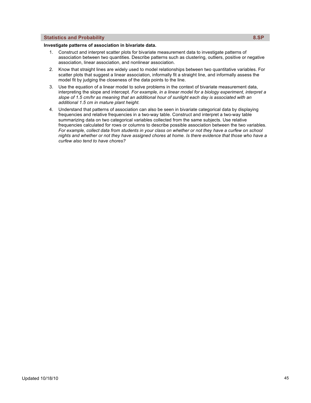### **Statistics and Probability <b>8.SP 8.SP**

#### **Investigate patterns of association in bivariate data.**

- 1. Construct and interpret scatter plots for bivariate measurement data to investigate patterns of association between two quantities. Describe patterns such as clustering, outliers, positive or negative association, linear association, and nonlinear association.
- 2. Know that straight lines are widely used to model relationships between two quantitative variables. For scatter plots that suggest a linear association, informally fit a straight line, and informally assess the model fit by judging the closeness of the data points to the line.
- 3. Use the equation of a linear model to solve problems in the context of bivariate measurement data, interpreting the slope and intercept. *For example, in a linear model for a biology experiment, interpret a slope of 1.5 cm/hr as meaning that an additional hour of sunlight each day is associated with an additional 1.5 cm in mature plant height.*
- 4. Understand that patterns of association can also be seen in bivariate categorical data by displaying frequencies and relative frequencies in a two-way table. Construct and interpret a two-way table summarizing data on two categorical variables collected from the same subjects. Use relative frequencies calculated for rows or columns to describe possible association between the two variables. *For example, collect data from students in your class on whether or not they have a curfew on school nights and whether or not they have assigned chores at home. Is there evidence that those who have a curfew also tend to have chores?*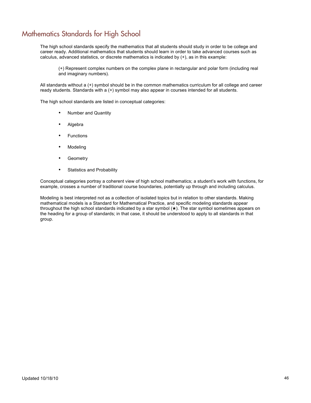# Mathematics Standards for High School

The high school standards specify the mathematics that all students should study in order to be college and career ready. Additional mathematics that students should learn in order to take advanced courses such as calculus, advanced statistics, or discrete mathematics is indicated by (+), as in this example:

(+) Represent complex numbers on the complex plane in rectangular and polar form (including real and imaginary numbers).

All standards without a (+) symbol should be in the common mathematics curriculum for all college and career ready students. Standards with a (+) symbol may also appear in courses intended for all students.

The high school standards are listed in conceptual categories:

- Number and Quantity
- Algebra
- **Functions**
- **Modeling**
- **Geometry**
- Statistics and Probability

Conceptual categories portray a coherent view of high school mathematics; a student's work with functions, for example, crosses a number of traditional course boundaries, potentially up through and including calculus.

Modeling is best interpreted not as a collection of isolated topics but in relation to other standards. Making mathematical models is a Standard for Mathematical Practice, and specific modeling standards appear throughout the high school standards indicated by a star symbol (★). The star symbol sometimes appears on the heading for a group of standards; in that case, it should be understood to apply to all standards in that group.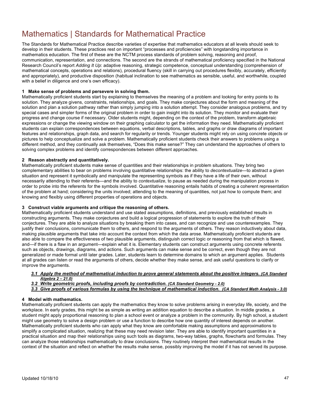The Standards for Mathematical Practice describe varieties of expertise that mathematics educators at all levels should seek to develop in their students. These practices rest on important "processes and proficiencies" with longstanding importance in mathematics education. The first of these are the NCTM process standards of problem solving, reasoning and proof, communication, representation, and connections. The second are the strands of mathematical proficiency specified in the National Research Council's report *Adding It Up*: adaptive reasoning, strategic competence, conceptual understanding (comprehension of mathematical concepts, operations and relations), procedural fluency (skill in carrying out procedures flexibly, accurately, efficiently and appropriately), and productive disposition (habitual inclination to see mathematics as sensible, useful, and worthwhile, coupled with a belief in diligence and one's own efficacy).

### **1 Make sense of problems and persevere in solving them.**

Mathematically proficient students start by explaining to themselves the meaning of a problem and looking for entry points to its solution. They analyze givens, constraints, relationships, and goals. They make conjectures about the form and meaning of the solution and plan a solution pathway rather than simply jumping into a solution attempt. They consider analogous problems, and try special cases and simpler forms of the original problem in order to gain insight into its solution. They monitor and evaluate their progress and change course if necessary. Older students might, depending on the context of the problem, transform algebraic expressions or change the viewing window on their graphing calculator to get the information they need. Mathematically proficient students can explain correspondences between equations, verbal descriptions, tables, and graphs or draw diagrams of important features and relationships, graph data, and search for regularity or trends. Younger students might rely on using concrete objects or pictures to help conceptualize and solve a problem. Mathematically proficient students check their answers to problems using a different method, and they continually ask themselves, "Does this make sense?" They can understand the approaches of others to solving complex problems and identify correspondences between different approaches.

### **2 Reason abstractly and quantitatively.**

Mathematically proficient students make sense of quantities and their relationships in problem situations. They bring two complementary abilities to bear on problems involving quantitative relationships: the ability to *decontextualize*—to abstract a given situation and represent it symbolically and manipulate the representing symbols as if they have a life of their own, without necessarily attending to their referents—and the ability to *contextualize*, to pause as needed during the manipulation process in order to probe into the referents for the symbols involved. Quantitative reasoning entails habits of creating a coherent representation of the problem at hand; considering the units involved; attending to the meaning of quantities, not just how to compute them; and knowing and flexibly using different properties of operations and objects.

### **3 Construct viable arguments and critique the reasoning of others.**

Mathematically proficient students understand and use stated assumptions, definitions, and previously established results in constructing arguments. They make conjectures and build a logical progression of statements to explore the truth of their conjectures. They are able to analyze situations by breaking them into cases, and can recognize and use counterexamples. They justify their conclusions, communicate them to others, and respond to the arguments of others. They reason inductively about data, making plausible arguments that take into account the context from which the data arose. Mathematically proficient students are also able to compare the effectiveness of two plausible arguments, distinguish correct logic or reasoning from that which is flawed, and—if there is a flaw in an argument—explain what it is. Elementary students can construct arguments using concrete referents such as objects, drawings, diagrams, and actions. Such arguments can make sense and be correct, even though they are not generalized or made formal until later grades. Later, students learn to determine domains to which an argument applies. Students at all grades can listen or read the arguments of others, decide whether they make sense, and ask useful questions to clarify or improve the arguments.

#### *3.1 Apply the method of mathematical induction to prove general statements about the positive integers. (CA Standard Algebra 2 – 21.0)*

*3.2 Write geometric proofs, including proofs by contradiction. (CA Standard Geometry - 2.0) 3.3 Give proofs of various formulas by using the technique of mathematical induction. (CA Standard Math Analysis - 3.0)*

### **4 Model with mathematics.**

Mathematically proficient students can apply the mathematics they know to solve problems arising in everyday life, society, and the workplace. In early grades, this might be as simple as writing an addition equation to describe a situation. In middle grades, a student might apply proportional reasoning to plan a school event or analyze a problem in the community. By high school, a student might use geometry to solve a design problem or use a function to describe how one quantity of interest depends on another. Mathematically proficient students who can apply what they know are comfortable making assumptions and approximations to simplify a complicated situation, realizing that these may need revision later. They are able to identify important quantities in a practical situation and map their relationships using such tools as diagrams, two-way tables, graphs, flowcharts and formulas. They can analyze those relationships mathematically to draw conclusions. They routinely interpret their mathematical results in the context of the situation and reflect on whether the results make sense, possibly improving the model if it has not served its purpose.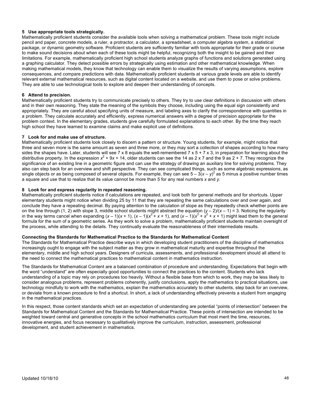### **5 Use appropriate tools strategically.**

Mathematically proficient students consider the available tools when solving a mathematical problem. These tools might include pencil and paper, concrete models, a ruler, a protractor, a calculator, a spreadsheet, a computer algebra system, a statistical package, or dynamic geometry software. Proficient students are sufficiently familiar with tools appropriate for their grade or course to make sound decisions about when each of these tools might be helpful, recognizing both the insight to be gained and their limitations. For example, mathematically proficient high school students analyze graphs of functions and solutions generated using a graphing calculator. They detect possible errors by strategically using estimation and other mathematical knowledge. When making mathematical models, they know that technology can enable them to visualize the results of varying assumptions, explore consequences, and compare predictions with data. Mathematically proficient students at various grade levels are able to identify relevant external mathematical resources, such as digital content located on a website, and use them to pose or solve problems. They are able to use technological tools to explore and deepen their understanding of concepts.

### **6 Attend to precision.**

Mathematically proficient students try to communicate precisely to others. They try to use clear definitions in discussion with others and in their own reasoning. They state the meaning of the symbols they choose, including using the equal sign consistently and appropriately. They are careful about specifying units of measure, and labeling axes to clarify the correspondence with quantities in a problem. They calculate accurately and efficiently, express numerical answers with a degree of precision appropriate for the problem context. In the elementary grades, students give carefully formulated explanations to each other. By the time they reach high school they have learned to examine claims and make explicit use of definitions.

### **7 Look for and make use of structure.**

Mathematically proficient students look closely to discern a pattern or structure. Young students, for example, might notice that three and seven more is the same amount as seven and three more, or they may sort a collection of shapes according to how many sides the shapes have. Later, students will see 7 x 8 equals the well-remembered 7 x 5 + 7 x 3, in preparation for learning about the distributive property. In the expression  $x^2 + 9x + 14$ , older students can see the 14 as 2 x 7 and the 9 as 2 + 7. They recognize the significance of an existing line in a geometric figure and can use the strategy of drawing an auxiliary line for solving problems. They also can step back for an overview and shift perspective. They can see complicated things, such as some algebraic expressions, as single objects or as being composed of several objects. For example, they can see  $5 - 3(x - y)^2$  as 5 minus a positive number times a square and use that to realize that its value cannot be more than 5 for any real numbers *x* and *y*.

### **8 Look for and express regularity in repeated reasoning.**

Mathematically proficient students notice if calculations are repeated, and look both for general methods and for shortcuts. Upper elementary students might notice when dividing 25 by 11 that they are repeating the same calculations over and over again, and conclude they have a repeating decimal. By paying attention to the calculation of slope as they repeatedly check whether points are on the line through (1, 2) with slope 3, middle school students might abstract the equation  $(y - 2)/(x - 1) = 3$ . Noticing the regularity in the way terms cancel when expanding  $(x-1)(x+1)$ ,  $(x-1)(x^2+x+1)$ , and  $(x-1)(x^3 + x^2 + x + 1)$  might lead them to the general formula for the sum of a geometric series. As they work to solve a problem, mathematically proficient students maintain oversight of the process, while attending to the details. They continually evaluate the reasonableness of their intermediate results.

### **Connecting the Standards for Mathematical Practice to the Standards for Mathematical Content**

The Standards for Mathematical Practice describe ways in which developing student practitioners of the discipline of mathematics increasingly ought to engage with the subject matter as they grow in mathematical maturity and expertise throughout the elementary, middle and high school years. Designers of curricula, assessments, and professional development should all attend to the need to connect the mathematical practices to mathematical content in mathematics instruction.

The Standards for Mathematical Content are a balanced combination of procedure and understanding. Expectations that begin with the word "understand" are often especially good opportunities to connect the practices to the content. Students who lack understanding of a topic may rely on procedures too heavily. Without a flexible base from which to work, they may be less likely to consider analogous problems, represent problems coherently, justify conclusions, apply the mathematics to practical situations, use technology mindfully to work with the mathematics, explain the mathematics accurately to other students, step back for an overview, or deviate from a known procedure to find a shortcut. In short, a lack of understanding effectively prevents a student from engaging in the mathematical practices.

In this respect, those content standards which set an expectation of understanding are potential "points of intersection" between the Standards for Mathematical Content and the Standards for Mathematical Practice. These points of intersection are intended to be weighted toward central and generative concepts in the school mathematics curriculum that most merit the time, resources, innovative energies, and focus necessary to qualitatively improve the curriculum, instruction, assessment, professional development, and student achievement in mathematics.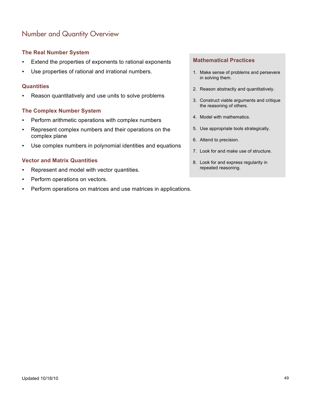# Number and Quantity Overview

### **The Real Number System**

- Extend the properties of exponents to rational exponents
- Use properties of rational and irrational numbers.

### **Quantities**

• Reason quantitatively and use units to solve problems

### **The Complex Number System**

- Perform arithmetic operations with complex numbers
- Represent complex numbers and their operations on the complex plane
- Use complex numbers in polynomial identities and equations

### **Vector and Matrix Quantities**

- Represent and model with vector quantities.
- Perform operations on vectors.
- Perform operations on matrices and use matrices in applications.

### **Mathematical Practices**

- 1. Make sense of problems and persevere in solving them.
- 2. Reason abstractly and quantitatively.
- 3. Construct viable arguments and critique the reasoning of others.
- 4. Model with mathematics.
- 5. Use appropriate tools strategically.
- 6. Attend to precision.
- 7. Look for and make use of structure.
- 8. Look for and express regularity in repeated reasoning.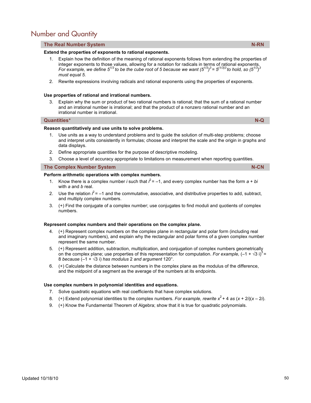# Number and Quantity

### **The Real Number System N-RN**

### **Extend the properties of exponents to rational exponents.**

- 1. Explain how the definition of the meaning of rational exponents follows from extending the properties of integer exponents to those values, allowing for a notation for radicals in terms of rational exponents. *For example, we define*  $5^{1/3}$  *to be the cube root of 5 because we want*  $(5^{1/3})^3 = 5^{(1/3)3}$  *to hold, so*  $(5^{1/3})^3$ *must equal 5.*
- 2. Rewrite expressions involving radicals and rational exponents using the properties of exponents.

### **Use properties of rational and irrational numbers.**

3. Explain why the sum or product of two rational numbers is rational; that the sum of a rational number and an irrational number is irrational; and that the product of a nonzero rational number and an irrational number is irrational.

### **Quantities**★ **N-Q**

#### **Reason quantitatively and use units to solve problems.**

- 1. Use units as a way to understand problems and to guide the solution of multi-step problems; choose and interpret units consistently in formulas; choose and interpret the scale and the origin in graphs and data displays.
- 2. Define appropriate quantities for the purpose of descriptive modeling.
- 3. Choose a level of accuracy appropriate to limitations on measurement when reporting quantities.

### **The Complex Number System N-CN**

### **Perform arithmetic operations with complex numbers.**

- 1. Know there is a complex number *i* such that  $\hat{i} = -1$ , and every complex number has the form  $a + bi$ with *a* and *b* real.
- 2. Use the relation  $i^2$  = –1 and the commutative, associative, and distributive properties to add, subtract, and multiply complex numbers.
- 3. (+) Find the conjugate of a complex number; use conjugates to find moduli and quotients of complex numbers.

#### **Represent complex numbers and their operations on the complex plane.**

- 4. (+) Represent complex numbers on the complex plane in rectangular and polar form (including real and imaginary numbers), and explain why the rectangular and polar forms of a given complex number represent the same number.
- 5. (+) Represent addition, subtraction, multiplication, and conjugation of complex numbers geometrically on the complex plane; use properties of this representation for computation. *For example*,  $(-1 + \sqrt{3}i)^3$ 8 *because* (–1 + √3 i) *has modulus* 2 *and argument* 120°.
- 6. (+) Calculate the distance between numbers in the complex plane as the modulus of the difference, and the midpoint of a segment as the average of the numbers at its endpoints.

#### **Use complex numbers in polynomial identities and equations.**

- 7. Solve quadratic equations with real coefficients that have complex solutions.
- 8. (+) Extend polynomial identities to the complex numbers. *For example, rewrite*  $x^2 + 4$  *as*  $(x + 2i)(x 2i)$ .
- 9. (+) Know the Fundamental Theorem of Algebra; show that it is true for quadratic polynomials.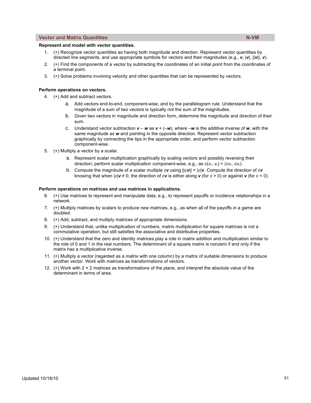### **Vector and Matrix Quantities N-VM**

### **Represent and model with vector quantities.**

- 1. (+) Recognize vector quantities as having both magnitude and direction. Represent vector quantities by directed line segments, and use appropriate symbols for vectors and their magnitudes (e.g., *v*, |*v*|, ||*v*||, *v*).
- 2. (+) Find the components of a vector by subtracting the coordinates of an initial point from the coordinates of a terminal point.
- 3. (+) Solve problems involving velocity and other quantities that can be represented by vectors.

### **Perform operations on vectors.**

- 4. (+) Add and subtract vectors.
	- a. Add vectors end-to-end, component-wise, and by the parallelogram rule. Understand that the magnitude of a sum of two vectors is typically not the sum of the magnitudes.
	- b. Given two vectors in magnitude and direction form, determine the magnitude and direction of their sum.
	- c. Understand vector subtraction  $v w$  as  $v + (-w)$ , where  $-w$  is the additive inverse of w, with the same magnitude as *w* and pointing in the opposite direction. Represent vector subtraction graphically by connecting the tips in the appropriate order, and perform vector subtraction component-wise.
- 5. (+) Multiply a vector by a scalar.
	- a. Represent scalar multiplication graphically by scaling vectors and possibly reversing their direction; perform scalar multiplication component-wise, e.g., as *c*(*v*x, *v*y) = (*cv*x, *cv*y).
	- b. Compute the magnitude of a scalar multiple *cv* using ||*cv*|| = |*c*|*v*. Compute the direction of *cv*  knowing that when  $|c|$ *v*  $\neq$  0, the direction of *cv* is either along *v* (for *c* > 0) or against *v* (for *c* < 0).

### **Perform operations on matrices and use matrices in applications.**

- 6. (+) Use matrices to represent and manipulate data, e.g., to represent payoffs or incidence relationships in a network.
- 7. (+) Multiply matrices by scalars to produce new matrices, e.g., as when all of the payoffs in a game are doubled.
- 8. (+) Add, subtract, and multiply matrices of appropriate dimensions.
- 9. (+) Understand that, unlike multiplication of numbers, matrix multiplication for square matrices is not a commutative operation, but still satisfies the associative and distributive properties.
- 10. (+) Understand that the zero and identity matrices play a role in matrix addition and multiplication similar to the role of 0 and 1 in the real numbers. The determinant of a square matrix is nonzero if and only if the matrix has a multiplicative inverse.
- 11. (+) Multiply a vector (regarded as a matrix with one column) by a matrix of suitable dimensions to produce another vector. Work with matrices as transformations of vectors.
- 12. (+) Work with 2 × 2 matrices as transformations of the plane, and interpret the absolute value of the determinant in terms of area.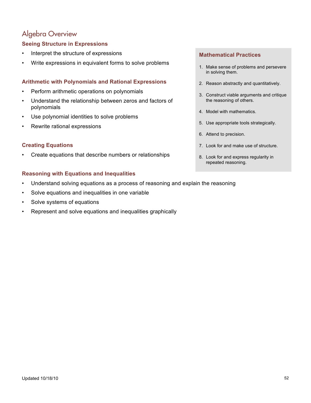# Algebra Overview

### **Seeing Structure in Expressions**

- Interpret the structure of expressions
- Write expressions in equivalent forms to solve problems

### **Arithmetic with Polynomials and Rational Expressions**

- Perform arithmetic operations on polynomials
- Understand the relationship between zeros and factors of polynomials
- Use polynomial identities to solve problems
- Rewrite rational expressions

### **Creating Equations**

• Create equations that describe numbers or relationships

### **Reasoning with Equations and Inequalities**

- Understand solving equations as a process of reasoning and explain the reasoning
- Solve equations and inequalities in one variable
- Solve systems of equations
- Represent and solve equations and inequalities graphically

### **Mathematical Practices**

- 1. Make sense of problems and persevere in solving them.
- 2. Reason abstractly and quantitatively.
- 3. Construct viable arguments and critique the reasoning of others.
- 4. Model with mathematics.
- 5. Use appropriate tools strategically.
- 6. Attend to precision.
- 7. Look for and make use of structure.
- 8. Look for and express regularity in repeated reasoning.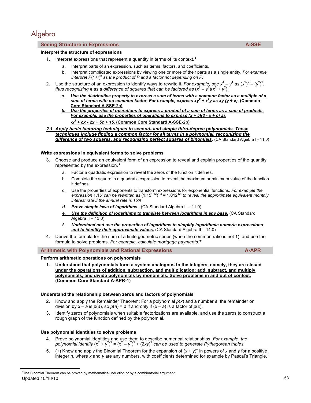# Algebra

### **Seeing Structure in Expressions A-SSE**

### **Interpret the structure of expressions**

- 1. Interpret expressions that represent a quantity in terms of its context.\*
	- a. Interpret parts of an expression, such as terms, factors, and coefficients.
	- b. Interpret complicated expressions by viewing one or more of their parts as a single entity. *For example, interpret P*(1+*r*) <sup>n</sup> *as the product of P and a factor not depending on P.*
- 2. Use the structure of an expression to identify ways to rewrite it. For example, see  $x^4 y^4$  as  $(x^2)^2 (y^2)^2$ , *thus recognizing it as a difference of squares that can be factored as*  $(x^2 - y^2)(x^2 + y^2)$ *.* 
	- *Use the distributive property to express a sum of terms with a common factor as a multiple of a sum of terms with no common factor. For example, express xy<sup>2</sup> + x<sup>2</sup> y as xy (y + x).* **(Common Core Standard A-SSE-2a)**
	- Use the properties of operations to express a product of a sum of terms as a sum of products. *For example, use the properties of operations to express (x + 5)(3 - x + c) as -x<sup>2</sup> + cx - 2x + 5c + 15.* **(Common Core Standard A-SSE-2b)**

# *2.1 Apply basic factoring techniques to second- and simple third-degree polynomials. These*

*techniques include finding a common factor for all terms in a polynomial, recognizing the difference of two squares, and recognizing perfect squares of binomials*. (CA Standard Algebra I - 11.0)

### **Write expressions in equivalent forms to solve problems**

- 3. Choose and produce an equivalent form of an expression to reveal and explain properties of the quantity represented by the expression.★
	- a. Factor a quadratic expression to reveal the zeros of the function it defines.
	- b. Complete the square in a quadratic expression to reveal the maximum or minimum value of the function it defines.
	- c. Use the properties of exponents to transform expressions for exponential functions. *For example the*  expression 1.15<sup>t</sup> can be rewritten as (1.15<sup>1/12</sup>)<sup>12t</sup> ≈ 1.012<sup>12t</sup> to reveal the approximate equivalent monthly *interest rate if the annual rate is 15%.*
	- *d. Prove simple laws of logarithms.* (CA Standard Algebra II 11.0)
	- **Use the definition of logarithms to translate between logarithms in any base.** (CA Standard Algebra  $II - 13.0$ )
	- *f. Understand and use the properties of logarithms to simplify logarithmic numeric expressions and to identify their approximate values.* (CA Standard Algebra II – 14.0)
- 4. Derive the formula for the sum of a finite geometric series (when the common ratio is not 1), and use the formula to solve problems. *For example, calculate mortgage payments.*★

### **Arithmetic with Polynomials and Rational Expressions A-APR**

### **Perform arithmetic operations on polynomials**

**1. Understand that polynomials form a system analogous to the integers, namely, they are closed under the operations of addition, subtraction, and multiplication; add, subtract, and multiply polynomials, and divide polynomials by monomials. Solve problems in and out of context***.*  **(Common Core Standard A-APR-1)**

### **Understand the relationship between zeros and factors of polynomials**

- 2. Know and apply the Remainder Theorem: For a polynomial *p*(*x*) and a number *a*, the remainder on division by  $x - a$  is  $p(a)$ , so  $p(a) = 0$  if and only if  $(x - a)$  is a factor of  $p(x)$ .
- 3. Identify zeros of polynomials when suitable factorizations are available, and use the zeros to construct a rough graph of the function defined by the polynomial.

### **Use polynomial identities to solve problems**

- 4. Prove polynomial identities and use them to describe numerical relationships. *For example, the*  polynomial identity  $(x^2 + y^2)^2 = (x^2 - y^2)^2 + (2xy)^2$  can be used to generate Pythagorean triples.
- 5. (+) Know and apply the Binomial Theorem for the expansion of  $(x + y)^n$  in powers of x and y for a positive integer *n*, where *x* and *y* are any numbers, with coefficients determined for example by Pascal's Triangle.<sup>1</sup>

Updated  $10/18/10$  53 <sup>1</sup>The Binomial Theorem can be proved by mathematical induction or by a combinatorial argument.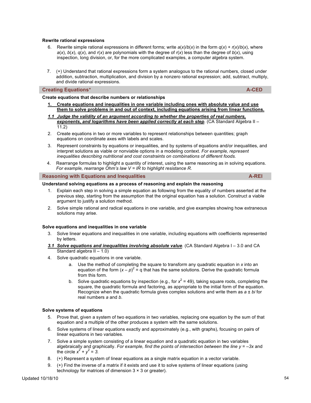### **Rewrite rational expressions**

- 6. Rewrite simple rational expressions in different forms; write  $a(x)/b(x)$  in the form  $q(x) + r(x)/b(x)$ , where  $a(x)$ ,  $b(x)$ ,  $q(x)$ , and  $r(x)$  are polynomials with the degree of  $r(x)$  less than the degree of  $b(x)$ , using inspection, long division, or, for the more complicated examples, a computer algebra system.
- 7. (+) Understand that rational expressions form a system analogous to the rational numbers, closed under addition, subtraction, multiplication, and division by a nonzero rational expression; add, subtract, multiply, and divide rational expressions.

### **Creating Equations**★ **A-CED**

### **Create equations that describe numbers or relationships**

- **1. Create equations and inequalities in one variable including ones with absolute value and use them to solve problems in and out of context, including equations arising from linear functions.**
- *1.1 Judge the validity of an argument according to whether the properties of real numbers, exponents, and logarithms have been applied correctly at each step*. (CA Standard Algebra II – 11.2)
- 2. Create equations in two or more variables to represent relationships between quantities; graph equations on coordinate axes with labels and scales.
- 3. Represent constraints by equations or inequalities, and by systems of equations and/or inequalities, and interpret solutions as viable or nonviable options in a modeling context. *For example, represent inequalities describing nutritional and cost constraints on combinations of different foods.*
- 4. Rearrange formulas to highlight a quantity of interest, using the same reasoning as in solving equations. *For example, rearrange Ohm's law V = IR to highlight resistance R.*

### **Reasoning with Equations and Inequalities A-REI**

### **Understand solving equations as a process of reasoning and explain the reasoning**

- Explain each step in solving a simple equation as following from the equality of numbers asserted at the previous step, starting from the assumption that the original equation has a solution. Construct a viable argument to justify a solution method.
- 2. Solve simple rational and radical equations in one variable, and give examples showing how extraneous solutions may arise.

### **Solve equations and inequalities in one variable**

- 3. Solve linear equations and inequalities in one variable, including equations with coefficients represented by letters.
- *3.1 Solve equations and inequalities involving absolute value*. (CA Standard Algebra I 3.0 and CA Standard algebra II – 1.0)
- 4. Solve quadratic equations in one variable.
	- a. Use the method of completing the square to transform any quadratic equation in *x* into an equation of the form  $(x - p)^2 = q$  that has the same solutions. Derive the quadratic formula from this form.
	- b. Solve quadratic equations by inspection (e.g., for  $x^2$  = 49), taking square roots, completing the square, the quadratic formula and factoring, as appropriate to the initial form of the equation. Recognize when the quadratic formula gives complex solutions and write them as *a* ± *bi* for real numbers *a* and *b*.

#### **Solve systems of equations**

- 5. Prove that, given a system of two equations in two variables, replacing one equation by the sum of that equation and a multiple of the other produces a system with the same solutions.
- 6. Solve systems of linear equations exactly and approximately (e.g., with graphs), focusing on pairs of linear equations in two variables.
- 7. Solve a simple system consisting of a linear equation and a quadratic equation in two variables algebraically and graphically. *For example, find the points of intersection between the line*  $y = -3x$  *and* the circle  $x^2 + y^2 = 3$ .
- 8. (+) Represent a system of linear equations as a single matrix equation in a vector variable.
- 9. (+) Find the inverse of a matrix if it exists and use it to solve systems of linear equations (using technology for matrices of dimension  $3 \times 3$  or greater).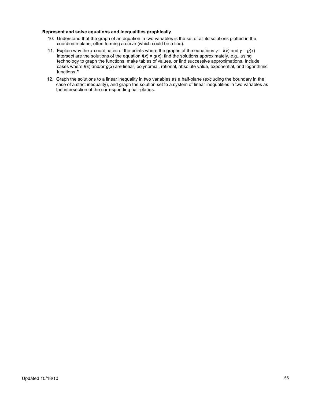### **Represent and solve equations and inequalities graphically**

- 10. Understand that the graph of an equation in two variables is the set of all its solutions plotted in the coordinate plane, often forming a curve (which could be a line).
- 11. Explain why the *x*-coordinates of the points where the graphs of the equations  $y = f(x)$  and  $y = g(x)$ intersect are the solutions of the equation  $f(x) = g(x)$ ; find the solutions approximately, e.g., using technology to graph the functions, make tables of values, or find successive approximations. Include cases where *f*(*x*) and/or *g*(*x*) are linear, polynomial, rational, absolute value, exponential, and logarithmic functions.★
- 12. Graph the solutions to a linear inequality in two variables as a half-plane (excluding the boundary in the case of a strict inequality), and graph the solution set to a system of linear inequalities in two variables as the intersection of the corresponding half-planes.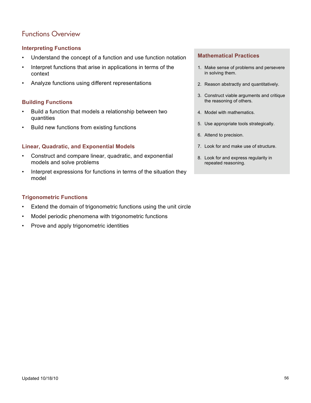# Functions Overview

### **Interpreting Functions**

- Understand the concept of a function and use function notation
- Interpret functions that arise in applications in terms of the context
- Analyze functions using different representations

### **Building Functions**

- Build a function that models a relationship between two quantities
- Build new functions from existing functions

### **Linear, Quadratic, and Exponential Models**

- Construct and compare linear, quadratic, and exponential models and solve problems
- Interpret expressions for functions in terms of the situation they model

### **Trigonometric Functions**

- Extend the domain of trigonometric functions using the unit circle
- Model periodic phenomena with trigonometric functions
- Prove and apply trigonometric identities

### **Mathematical Practices**

- 1. Make sense of problems and persevere in solving them.
- 2. Reason abstractly and quantitatively.
- 3. Construct viable arguments and critique the reasoning of others.
- 4. Model with mathematics.
- 5. Use appropriate tools strategically.
- 6. Attend to precision.
- 7. Look for and make use of structure.
- 8. Look for and express regularity in repeated reasoning.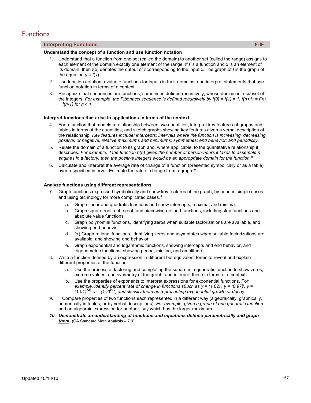### **Interpreting Functions F-IF**

### **Understand the concept of a function and use function notation**

- 1. Understand that a function from one set (called the domain) to another set (called the range) assigns to each element of the domain exactly one element of the range. If *f* is a function and *x* is an element of its domain, then *f*(*x*) denotes the output of *f* corresponding to the input *x*. The graph of *f* is the graph of the equation  $y = f(x)$ .
- 2. Use function notation, evaluate functions for inputs in their domains, and interpret statements that use function notation in terms of a context.
- 3. Recognize that sequences are functions, sometimes defined recursively, whose domain is a subset of the integers. *For example, the Fibonacci sequence is defined recursively by f(0) = f(1) = 1, f(n+1) = f(n) + f(n-1) for n* ≥ *1.*

### **Interpret functions that arise in applications in terms of the context**

- 4. For a function that models a relationship between two quantities, interpret key features of graphs and tables in terms of the quantities, and sketch graphs showing key features given a verbal description of the relationship. *Key features include: intercepts; intervals where the function is increasing, decreasing, positive, or negative; relative maximums and minimums; symmetries; end behavior; and periodicity.*
- 5. Relate the domain of a function to its graph and, where applicable, to the quantitative relationship it describes. *For example, if the function h(n) gives the number of person-hours it takes to assemble n*  engines in a factory, then the positive integers would be an appropriate domain for the function.<sup>\*</sup>
- 6. Calculate and interpret the average rate of change of a function (presented symbolically or as a table) over a specified interval. Estimate the rate of change from a graph*.* ★

### **Analyze functions using different representations**

- 7. Graph functions expressed symbolically and show key features of the graph, by hand in simple cases and using technology for more complicated cases*.* ★
	- a. Graph linear and quadratic functions and show intercepts, maxima, and minima.
	- b. Graph square root, cube root, and piecewise-defined functions, including step functions and absolute value functions.
	- c. Graph polynomial functions, identifying zeros when suitable factorizations are available, and showing end behavior.
	- d. (+) Graph rational functions, identifying zeros and asymptotes when suitable factorizations are available, and showing end behavior.
	- e. Graph exponential and logarithmic functions, showing intercepts and end behavior, and trigonometric functions, showing period, midline, and amplitude.
- 8. Write a function defined by an expression in different but equivalent forms to reveal and explain different properties of the function.
	- a. Use the process of factoring and completing the square in a quadratic function to show zeros, extreme values, and symmetry of the graph, and interpret these in terms of a context.
	- b. Use the properties of exponents to interpret expressions for exponential functions. *For example, identify percent rate of change in functions s0uch as y = (1.02)<sup>t</sup> , y = (0.97)<sup>t</sup> , y =*   $(1.01)^{12t}$ ,  $y = (1.2)^{1/10}$ , and classify them as representing exponential growth or decay.
- 9. Compare properties of two functions each represented in a different way (algebraically, graphically, numerically in tables, or by verbal descriptions). *For example, given a graph of one quadratic function*  and an algebraic expression for another, say which has the larger maximum.

### *10. Demonstrate an understanding of functions and equations defined parametrically and graph them*. (CA Standard Math Analysis – 7.0)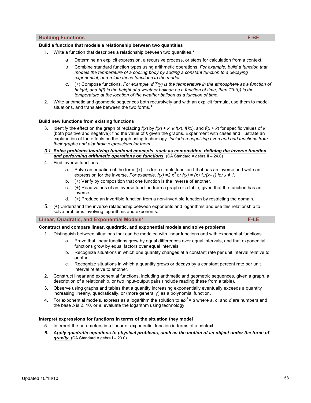### **Building Functions F-BF**

### **Build a function that models a relationship between two quantities**

- 1. Write a function that describes a relationship between two quantities.★
	- a. Determine an explicit expression, a recursive process, or steps for calculation from a context.
	- b. Combine standard function types using arithmetic operations. *For example, build a function that models the temperature of a cooling body by adding a constant function to a decaying exponential, and relate these functions to the model.*
	- c. (+) Compose functions. *For example, if T(y) is the temperature in the atmosphere as a function of height, and h(t) is the height of a weather balloon as a function of time, then T(h(t)) is the temperature at the location of the weather balloon as a function of time.*
- 2. Write arithmetic and geometric sequences both recursively and with an explicit formula, use them to model situations, and translate between the two forms.★

### **Build new functions from existing functions**

- 3. Identify the effect on the graph of replacing  $f(x)$  by  $f(x) + k$ ,  $k f(x)$ ,  $f(kx)$ , and  $f(x + k)$  for specific values of  $k$ (both positive and negative); find the value of *k* given the graphs. Experiment with cases and illustrate an explanation of the effects on the graph using technology. *Include recognizing even and odd functions from their graphs and algebraic expressions for them.*
- *3.1 Solve problems involving functional concepts, such as composition, defining the inverse function and performing arithmetic operations on functions*. (CA Standard Algebra II – 24.0)
- 4. Find inverse functions.
	- a. Solve an equation of the form  $f(x) = c$  for a simple function f that has an inverse and write an expression for the inverse. *For example, f(x)* =  $2x^3$  or  $f(x) = (x+1)/(x-1)$  for  $x \ne 1$ .
	- b. (+) Verify by composition that one function is the inverse of another.
	- c. (+) Read values of an inverse function from a graph or a table, given that the function has an inverse.
	- d. (+) Produce an invertible function from a non-invertible function by restricting the domain.
- 5. (+) Understand the inverse relationship between exponents and logarithms and use this relationship to solve problems involving logarithms and exponents.

### **Linear, Quadratic, and Exponential Models**★ **F-LE**

### **Construct and compare linear, quadratic, and exponential models and solve problems**

- 1. Distinguish between situations that can be modeled with linear functions and with exponential functions.
	- a. Prove that linear functions grow by equal differences over equal intervals, and that exponential functions grow by equal factors over equal intervals.
	- b. Recognize situations in which one quantity changes at a constant rate per unit interval relative to another.
	- c. Recognize situations in which a quantity grows or decays by a constant percent rate per unit interval relative to another.
- 2. Construct linear and exponential functions, including arithmetic and geometric sequences, given a graph, a description of a relationship, or two input-output pairs (include reading these from a table).
- 3. Observe using graphs and tables that a quantity increasing exponentially eventually exceeds a quantity increasing linearly, quadratically, or (more generally) as a polynomial function.
- 4. For exponential models, express as a logarithm the solution to  $ab^{ct}= d$  where a, c, and d are numbers and the base *b* is 2, 10, or *e*; evaluate the logarithm using technology.

### **Interpret expressions for functions in terms of the situation they model**

- 5. Interpret the parameters in a linear or exponential function in terms of a context.
- *6. Apply quadratic equations to physical problems, such as the motion of an object under the force of gravity.* (CA Standard Algebra I – 23.0)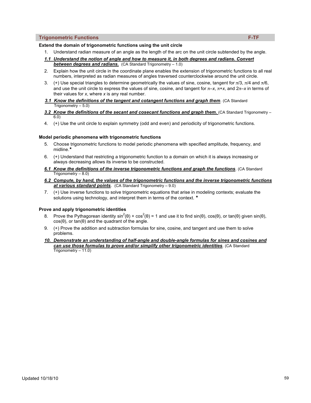### **Trigonometric Functions F-TF**

### **Extend the domain of trigonometric functions using the unit circle**

- 1. Understand radian measure of an angle as the length of the arc on the unit circle subtended by the angle.
- *1.1 Understand the notion of angle and how to measure it, in both degrees and radians. Convert between degrees and radians.* (CA Standard Trigonometry – 1.0)
- 2. Explain how the unit circle in the coordinate plane enables the extension of trigonometric functions to all real numbers, interpreted as radian measures of angles traversed counterclockwise around the unit circle.
- 3. (+) Use special triangles to determine geometrically the values of sine, cosine, tangent for  $\pi/3$ ,  $\pi/4$  and  $\pi/6$ , and use the unit circle to express the values of sine, cosine, and tangent for π–*x*, π+*x*, and 2π–*x* in terms of their values for *x*, where *x* is any real number.
- 3.1 *Know the definitions of the tangent and cotangent functions and graph them.* **(CA Standard** Trigonometry – 5.0)
- *3.2 Know the definitions of the secant and cosecant functions and graph them.* (CA Standard Trigonometry  $\overline{6}$   $\overline{0}$
- 4. (+) Use the unit circle to explain symmetry (odd and even) and periodicity of trigonometric functions.

### **Model periodic phenomena with trigonometric functions**

- 5. Choose trigonometric functions to model periodic phenomena with specified amplitude, frequency, and midline.★
- 6. (+) Understand that restricting a trigonometric function to a domain on which it is always increasing or always decreasing allows its inverse to be constructed.
- *6.1 Know the definitions of the inverse trigonometric functions and graph the functions*. (CA Standard Trigonometry – 8.0)
- *6.2 Compute, by hand, the values of the trigonometric functions and the inverse trigonometric functions at various standard points*. (CA Standard Trigonometry – 9.0)
- 7. (+) Use inverse functions to solve trigonometric equations that arise in modeling contexts; evaluate the solutions using technology, and interpret them in terms of the context.  $\star$

#### **Prove and apply trigonometric identities**

- 8. Prove the Pythagorean identity sin<sup>2</sup>(θ) + cos<sup>2</sup>(θ) = 1 and use it to find sin(θ), cos(θ), or tan(θ) given sin(θ),  $cos(\theta)$ , or  $tan(\theta)$  and the quadrant of the angle.
- 9. (+) Prove the addition and subtraction formulas for sine, cosine, and tangent and use them to solve problems.
- *10. Demonstrate an understanding of half-angle and double-angle formulas for sines and cosines and can use those formulas to prove and/or simplify other trigonometric identities*. (CA Standard Trigonometry – 11.0)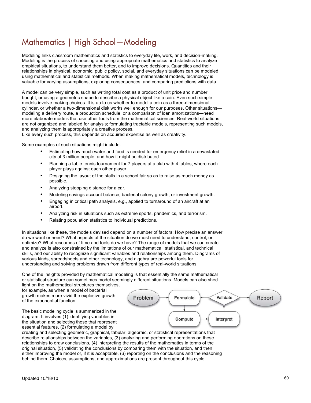# Mathematics | High School—Modeling

Modeling links classroom mathematics and statistics to everyday life, work, and decision-making. Modeling is the process of choosing and using appropriate mathematics and statistics to analyze empirical situations, to understand them better, and to improve decisions. Quantities and their relationships in physical, economic, public policy, social, and everyday situations can be modeled using mathematical and statistical methods. When making mathematical models, technology is valuable for varying assumptions, exploring consequences, and comparing predictions with data.

A model can be very simple, such as writing total cost as a product of unit price and number bought, or using a geometric shape to describe a physical object like a coin. Even such simple models involve making choices. It is up to us whether to model a coin as a three-dimensional cylinder, or whether a two-dimensional disk works well enough for our purposes. Other situations modeling a delivery route, a production schedule, or a comparison of loan amortizations—need more elaborate models that use other tools from the mathematical sciences. Real-world situations are not organized and labeled for analysis; formulating tractable models, representing such models, and analyzing them is appropriately a creative process.

Like every such process, this depends on acquired expertise as well as creativity.

Some examples of such situations might include:

- Estimating how much water and food is needed for emergency relief in a devastated city of 3 million people, and how it might be distributed.
- Planning a table tennis tournament for 7 players at a club with 4 tables, where each player plays against each other player.
- Designing the layout of the stalls in a school fair so as to raise as much money as possible.
- Analyzing stopping distance for a car.
- Modeling savings account balance, bacterial colony growth, or investment growth.
- Engaging in critical path analysis, e.g., applied to turnaround of an aircraft at an airport.
- Analyzing risk in situations such as extreme sports, pandemics, and terrorism.
- Relating population statistics to individual predictions.

In situations like these, the models devised depend on a number of factors: How precise an answer do we want or need? What aspects of the situation do we most need to understand, control, or optimize? What resources of time and tools do we have? The range of models that we can create and analyze is also constrained by the limitations of our mathematical, statistical, and technical skills, and our ability to recognize significant variables and relationships among them. Diagrams of various kinds, spreadsheets and other technology, and algebra are powerful tools for understanding and solving problems drawn from different types of real-world situations.

One of the insights provided by mathematical modeling is that essentially the same mathematical or statistical structure can sometimes model seemingly different situations. Models can also shed

light on the mathematical structures themselves, for example, as when a model of bacterial growth makes more vivid the explosive growth of the exponential function.

The basic modeling cycle is summarized in the diagram. It involves (1) identifying variables in the situation and selecting those that represent essential features, (2) formulating a model by



creating and selecting geometric, graphical, tabular, algebraic, or statistical representations that describe relationships between the variables, (3) analyzing and performing operations on these relationships to draw conclusions, (4) interpreting the results of the mathematics in terms of the original situation, (5) validating the conclusions by comparing them with the situation, and then either improving the model or, if it is acceptable, (6) reporting on the conclusions and the reasoning behind them. Choices, assumptions, and approximations are present throughout this cycle.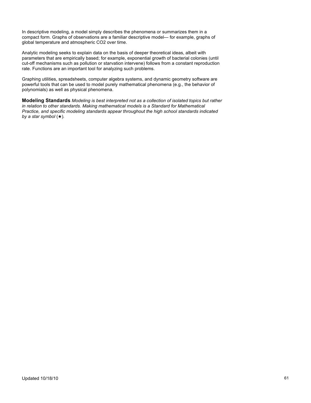In descriptive modeling, a model simply describes the phenomena or summarizes them in a compact form. Graphs of observations are a familiar descriptive model— for example, graphs of global temperature and atmospheric CO2 over time.

Analytic modeling seeks to explain data on the basis of deeper theoretical ideas, albeit with parameters that are empirically based; for example, exponential growth of bacterial colonies (until cut-off mechanisms such as pollution or starvation intervene) follows from a constant reproduction rate. Functions are an important tool for analyzing such problems.

Graphing utilities, spreadsheets, computer algebra systems, and dynamic geometry software are powerful tools that can be used to model purely mathematical phenomena (e.g., the behavior of polynomials) as well as physical phenomena.

**Modeling Standards** *Modeling is best interpreted not as a collection of isolated topics but rather in relation to other standards. Making mathematical models is a Standard for Mathematical Practice, and specific modeling standards appear throughout the high school standards indicated by a star symbol* (★)*.*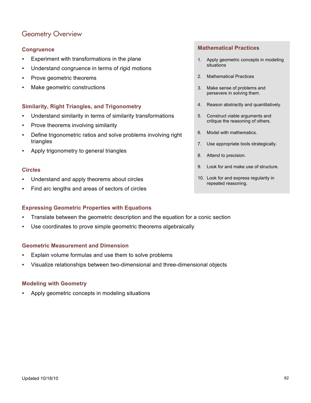# Geometry Overview

### **Congruence**

- Experiment with transformations in the plane
- Understand congruence in terms of rigid motions
- Prove geometric theorems
- Make geometric constructions

### **Similarity, Right Triangles, and Trigonometry**

- Understand similarity in terms of similarity transformations
- Prove theorems involving similarity
- Define trigonometric ratios and solve problems involving right triangles
- Apply trigonometry to general triangles

### **Circles**

- Understand and apply theorems about circles
- Find arc lengths and areas of sectors of circles

### **Expressing Geometric Properties with Equations**

- Translate between the geometric description and the equation for a conic section
- Use coordinates to prove simple geometric theorems algebraically

### **Geometric Measurement and Dimension**

- Explain volume formulas and use them to solve problems
- Visualize relationships between two-dimensional and three-dimensional objects

### **Modeling with Geometry**

• Apply geometric concepts in modeling situations

### **Mathematical Practices**

- 1. Apply geometric concepts in modeling situations
- 2. Mathematical Practices
- 3. Make sense of problems and persevere in solving them.
- 4. Reason abstractly and quantitatively.
- 5. Construct viable arguments and critique the reasoning of others.
- 6. Model with mathematics.
- 7. Use appropriate tools strategically.
- 8. Attend to precision.
- 9. Look for and make use of structure.
- 10. Look for and express regularity in repeated reasoning.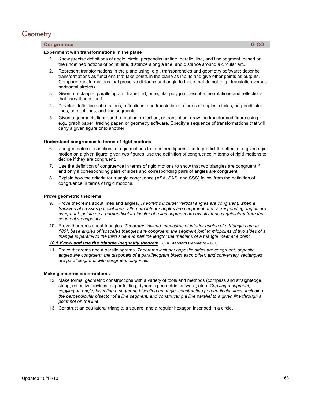## **Geometry**

### **Congruence G-CO**

#### **Experiment with transformations in the plane**

- 1. Know precise definitions of angle, circle, perpendicular line, parallel line, and line segment, based on the undefined notions of point, line, distance along a line, and distance around a circular arc.
- 2. Represent transformations in the plane using, e.g., transparencies and geometry software; describe transformations as functions that take points in the plane as inputs and give other points as outputs. Compare transformations that preserve distance and angle to those that do not (e.g., translation versus horizontal stretch).
- 3. Given a rectangle, parallelogram, trapezoid, or regular polygon, describe the rotations and reflections that carry it onto itself.
- 4. Develop definitions of rotations, reflections, and translations in terms of angles, circles, perpendicular lines, parallel lines, and line segments.
- 5. Given a geometric figure and a rotation, reflection, or translation, draw the transformed figure using, e.g., graph paper, tracing paper, or geometry software. Specify a sequence of transformations that will carry a given figure onto another.

#### **Understand congruence in terms of rigid motions**

- 6. Use geometric descriptions of rigid motions to transform figures and to predict the effect of a given rigid motion on a given figure; given two figures, use the definition of congruence in terms of rigid motions to decide if they are congruent.
- 7. Use the definition of congruence in terms of rigid motions to show that two triangles are congruent if and only if corresponding pairs of sides and corresponding pairs of angles are congruent.
- 8. Explain how the criteria for triangle congruence (ASA, SAS, and SSS) follow from the definition of congruence in terms of rigid motions.

#### **Prove geometric theorems**

- 9. Prove theorems about lines and angles. *Theorems include: vertical angles are congruent; when a transversal crosses parallel lines, alternate interior angles are congruent and corresponding angles are congruent; points on a perpendicular bisector of a line segment are exactly those equidistant from the segment's endpoints.*
- 10. Prove theorems about triangles. *Theorems include: measures of interior angles of a triangle sum to 180°; base angles of isosceles triangles are congruent; the segment joining midpoints of two sides of a triangle is parallel to the third side and half the length; the medians of a triangle meet at a point.*

*10.1 Know and use the triangle inequality theorem*. (CA Standard Geometry – 6.0)

11. Prove theorems about parallelograms. *Theorems include: opposite sides are congruent, opposite angles are congruent, the diagonals of a parallelogram bisect each other, and conversely, rectangles are parallelograms with congruent diagonals.*

#### **Make geometric constructions**

- 12. Make formal geometric constructions with a variety of tools and methods (compass and straightedge, string, reflective devices, paper folding, dynamic geometric software, etc.). *Copying a segment; copying an angle; bisecting a segment; bisecting an angle; constructing perpendicular lines, including the perpendicular bisector of a line segment; and constructing a line parallel to a given line through a point not on the line.*
- 13. Construct an equilateral triangle, a square, and a regular hexagon inscribed in a circle.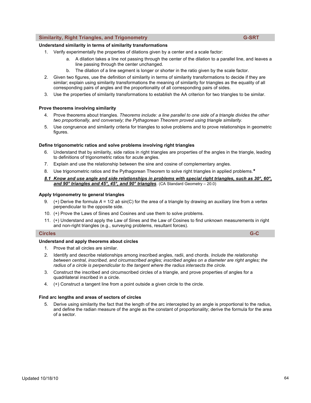### **Similarity, Right Triangles, and Trigonometry G-SRT**

### **Understand similarity in terms of similarity transformations**

- 1. Verify experimentally the properties of dilations given by a center and a scale factor:
	- a. A dilation takes a line not passing through the center of the dilation to a parallel line, and leaves a line passing through the center unchanged.
	- b. The dilation of a line segment is longer or shorter in the ratio given by the scale factor.
- 2. Given two figures, use the definition of similarity in terms of similarity transformations to decide if they are similar; explain using similarity transformations the meaning of similarity for triangles as the equality of all corresponding pairs of angles and the proportionality of all corresponding pairs of sides.
- 3. Use the properties of similarity transformations to establish the AA criterion for two triangles to be similar.

### **Prove theorems involving similarity**

- 4. Prove theorems about triangles. *Theorems include: a line parallel to one side of a triangle divides the other two proportionally, and conversely; the Pythagorean Theorem proved using triangle similarity.*
- 5. Use congruence and similarity criteria for triangles to solve problems and to prove relationships in geometric figures.

### **Define trigonometric ratios and solve problems involving right triangles**

- 6. Understand that by similarity, side ratios in right triangles are properties of the angles in the triangle, leading to definitions of trigonometric ratios for acute angles.
- 7. Explain and use the relationship between the sine and cosine of complementary angles.
- 8. Use trigonometric ratios and the Pythagorean Theorem to solve right triangles in applied problems.★

### *8.1 Know and use angle and side relationships in problems with special right triangles, such as 30°, 60°, and 90° triangles and 45°, 45°, and 90° triangles*. (CA Standard Geometry – 20.0)

### **Apply trigonometry to general triangles**

- 9. (+) Derive the formula *A* = 1/2 *ab* sin(C) for the area of a triangle by drawing an auxiliary line from a vertex perpendicular to the opposite side.
- 10. (+) Prove the Laws of Sines and Cosines and use them to solve problems.
- 11. (+) Understand and apply the Law of Sines and the Law of Cosines to find unknown measurements in right and non-right triangles (e.g., surveying problems, resultant forces).

#### **Circles G-C**

### **Understand and apply theorems about circles**

- 1. Prove that all circles are similar.
- 2. Identify and describe relationships among inscribed angles, radii, and chords. *Include the relationship between central, inscribed, and circumscribed angles; inscribed angles on a diameter are right angles; the radius of a circle is perpendicular to the tangent where the radius intersects the circle.*
- 3. Construct the inscribed and circumscribed circles of a triangle, and prove properties of angles for a quadrilateral inscribed in a circle.
- 4. (+) Construct a tangent line from a point outside a given circle to the circle.

#### **Find arc lengths and areas of sectors of circles**

5. Derive using similarity the fact that the length of the arc intercepted by an angle is proportional to the radius, and define the radian measure of the angle as the constant of proportionality; derive the formula for the area of a sector.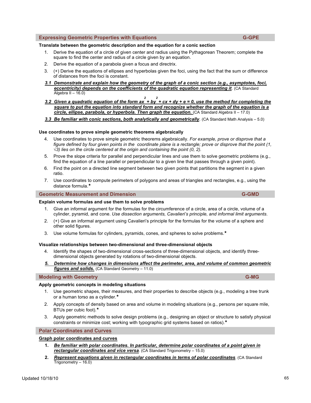### **Expressing Geometric Properties with Equations G-GPE**

### **Translate between the geometric description and the equation for a conic section**

- 1. Derive the equation of a circle of given center and radius using the Pythagorean Theorem; complete the square to find the center and radius of a circle given by an equation.
- 2. Derive the equation of a parabola given a focus and directrix.
- 3. (+) Derive the equations of ellipses and hyperbolas given the foci, using the fact that the sum or difference of distances from the foci is constant.
- *3.1 Demonstrate and explain how the geometry of the graph of a conic section (e.g., asymptotes, foci, eccentricity) depends on the coefficients of the quadratic equation representing it.* **(CA Standard** Algebra II –  $16.0$ )
- *3.2 Given a quadratic equation of the form ax<sup>2</sup> + by<sup>2</sup> + cx + dy + e = 0, use the method for completing the square to put the equation into standard form and recognize whether the graph of the equation is a circle, ellipse, parabola, or hyperbola. Then graph the equation.* (CA Standard Algebra II – 17.0)
- *3.3 Be familiar with conic sections, both analytically and geometrically*. (CA Standard Math Analysis 5.0)

### **Use coordinates to prove simple geometric theorems algebraically**

- 4. Use coordinates to prove simple geometric theorems algebraically. *For example, prove or disprove that a figure defined by four given points in the coordinate plane is a rectangle; prove or disprove that the point (1,*  √*3) lies on the circle centered at the origin and containing the point (0, 2).*
- 5. Prove the slope criteria for parallel and perpendicular lines and use them to solve geometric problems (e.g., find the equation of a line parallel or perpendicular to a given line that passes through a given point).
- 6. Find the point on a directed line segment between two given points that partitions the segment in a given ratio.
- 7. Use coordinates to compute perimeters of polygons and areas of triangles and rectangles, e.g., using the distance formula.★

### **Geometric Measurement and Dimension G-GMD**

### **Explain volume formulas and use them to solve problems**

- 1. Give an informal argument for the formulas for the circumference of a circle, area of a circle, volume of a cylinder, pyramid, and cone. *Use dissection arguments, Cavalieri's principle, and informal limit arguments*.
- 2. (+) Give an informal argument using Cavalieri's principle for the formulas for the volume of a sphere and other solid figures.
- 3. Use volume formulas for cylinders, pyramids, cones, and spheres to solve problems.★

#### **Visualize relationships between two-dimensional and three-dimensional objects**

- 4. Identify the shapes of two-dimensional cross-sections of three-dimensional objects, and identify threedimensional objects generated by rotations of two-dimensional objects.
- *5. Determine how changes in dimensions affect the perimeter, area, and volume of common geometric figures and solids.* (CA Standard Geometry – 11.0)

### **Modeling with Geometry G-MG**

### **Apply geometric concepts in modeling situations**

- 1. Use geometric shapes, their measures, and their properties to describe objects (e.g., modeling a tree trunk or a human torso as a cylinder.★
- 2. Apply concepts of density based on area and volume in modeling situations (e.g., persons per square mile, BTUs per cubic foot).★
- 3. Apply geometric methods to solve design problems (e.g., designing an object or structure to satisfy physical constraints or minimize cost; working with typographic grid systems based on ratios).★

### **Polar Coordinates and Curves**

### **Graph polar coordinates and curves**

- **1.** *Be familiar with polar coordinates. In particular, determine polar coordinates of a point given in rectangular coordinates and vice versa*. (CA Standard Trigonometry – 15.0)
- **2.** *Represent equations given in rectangular coordinates in terms of polar coordinates*. (CA Standard Trigonometry – 16.0)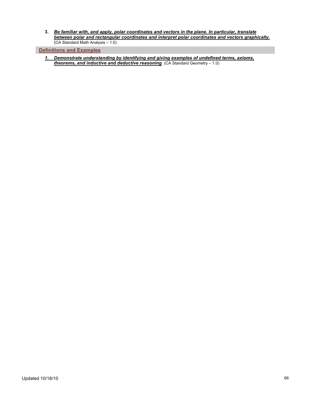**3.** *Be familiar with, and apply, polar coordinates and vectors in the plane. In particular, translate between polar and rectangular coordinates and interpret polar coordinates and vectors graphically.* (CA Standard Math Analysis – 1.0)

**Definitions and Examples**

*1. Demonstrate understanding by identifying and giving examples of undefined terms, axioms, theorems, and inductive and deductive reasoning*. (CA Standard Geometry – 1.0)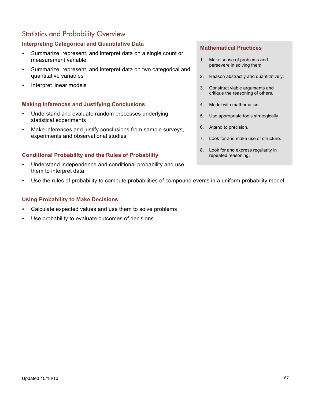# Statistics and Probability Overview

### **Interpreting Categorical and Quantitative Data**

- Summarize, represent, and interpret data on a single count or measurement variable
- Summarize, represent, and interpret data on two categorical and quantitative variables
- Interpret linear models

### **Making Inferences and Justifying Conclusions**

- Understand and evaluate random processes underlying statistical experiments
- Make inferences and justify conclusions from sample surveys, experiments and observational studies

### **Conditional Probability and the Rules of Probability**

• Understand independence and conditional probability and use them to interpret data

### **Mathematical Practices**

- 1. Make sense of problems and persevere in solving them.
- 2. Reason abstractly and quantitatively.
- 3. Construct viable arguments and critique the reasoning of others.
- 4. Model with mathematics.
- 5. Use appropriate tools strategically.
- 6. Attend to precision.
- 7. Look for and make use of structure.
- 8. Look for and express regularity in repeated reasoning.
- Use the rules of probability to compute probabilities of compound events in a uniform probability model

### **Using Probability to Make Decisions**

- Calculate expected values and use them to solve problems
- Use probability to evaluate outcomes of decisions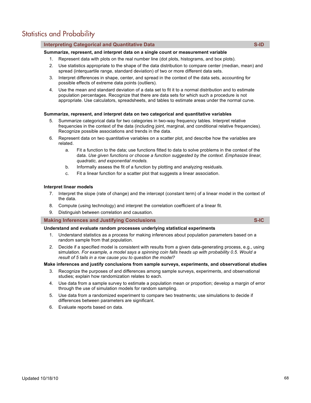# Statistics and Probability

### **Interpreting Categorical and Quantitative Data S-ID**

### **Summarize, represent, and interpret data on a single count or measurement variable**

- 1. Represent data with plots on the real number line (dot plots, histograms, and box plots).
- 2. Use statistics appropriate to the shape of the data distribution to compare center (median, mean) and spread (interquartile range, standard deviation) of two or more different data sets.
- 3. Interpret differences in shape, center, and spread in the context of the data sets, accounting for possible effects of extreme data points (outliers).
- 4. Use the mean and standard deviation of a data set to fit it to a normal distribution and to estimate population percentages. Recognize that there are data sets for which such a procedure is not appropriate. Use calculators, spreadsheets, and tables to estimate areas under the normal curve.

#### **Summarize, represent, and interpret data on two categorical and quantitative variables**

- 5. Summarize categorical data for two categories in two-way frequency tables. Interpret relative frequencies in the context of the data (including joint, marginal, and conditional relative frequencies). Recognize possible associations and trends in the data.
- 6. Represent data on two quantitative variables on a scatter plot, and describe how the variables are related.
	- a. Fit a function to the data; use functions fitted to data to solve problems in the context of the data. *Use given functions or choose a function suggested by the context. Emphasize linear, quadratic, and exponential models.*
	- b. Informally assess the fit of a function by plotting and analyzing residuals.
	- c. Fit a linear function for a scatter plot that suggests a linear association.

#### **Interpret linear models**

- 7. Interpret the slope (rate of change) and the intercept (constant term) of a linear model in the context of the data.
- 8. Compute (using technology) and interpret the correlation coefficient of a linear fit.
- 9. Distinguish between correlation and causation.

#### **Making Inferences and Justifying Conclusions S-IC**

#### **Understand and evaluate random processes underlying statistical experiments**

- 1. Understand statistics as a process for making inferences about population parameters based on a random sample from that population.
- 2. Decide if a specified model is consistent with results from a given data-generating process, e.g., using simulation. *For example, a model says a spinning coin falls heads up with probability 0.5. Would a result of 5 tails in a row cause you to question the model?*

#### **Make inferences and justify conclusions from sample surveys, experiments, and observational studies**

- 3. Recognize the purposes of and differences among sample surveys, experiments, and observational studies; explain how randomization relates to each.
- 4. Use data from a sample survey to estimate a population mean or proportion; develop a margin of error through the use of simulation models for random sampling.
- 5. Use data from a randomized experiment to compare two treatments; use simulations to decide if differences between parameters are significant.
- 6. Evaluate reports based on data.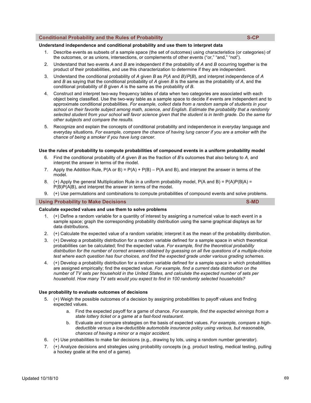### **Conditional Probability and the Rules of Probability S-CP**

### **Understand independence and conditional probability and use them to interpret data**

- 1. Describe events as subsets of a sample space (the set of outcomes) using characteristics (or categories) of the outcomes, or as unions, intersections, or complements of other events ("or," "and," "not").
- 2. Understand that two events *A* and *B* are independent if the probability of *A* and *B* occurring together is the product of their probabilities, and use this characterization to determine if they are independent.
- 3. Understand the conditional probability of *A* given *B* as *P*(*A* and *B*)/*P*(*B*), and interpret independence of *A*  and *B* as saying that the conditional probability of *A* given *B* is the same as the probability of *A*, and the conditional probability of *B* given *A* is the same as the probability of *B*.
- 4. Construct and interpret two-way frequency tables of data when two categories are associated with each object being classified. Use the two-way table as a sample space to decide if events are independent and to approximate conditional probabilities. *For example, collect data from a random sample of students in your school on their favorite subject among math, science, and English. Estimate the probability that a randomly selected student from your school will favor science given that the student is in tenth grade. Do the same for other subjects and compare the results.*
- 5. Recognize and explain the concepts of conditional probability and independence in everyday language and everyday situations. *For example, compare the chance of having lung cancer if you are a smoker with the chance of being a smoker if you have lung cancer.*

### **Use the rules of probability to compute probabilities of compound events in a uniform probability model**

- 6. Find the conditional probability of *A* given *B* as the fraction of *B*'s outcomes that also belong to *A,* and interpret the answer in terms of the model.
- 7. Apply the Addition Rule,  $P(A \text{ or } B) = P(A) + P(B) P(A \text{ and } B)$ , and interpret the answer in terms of the model.
- 8. (+) Apply the general Multiplication Rule in a uniform probability model,  $P(A \text{ and } B) = P(A)P(B|A) =$ P(B)P(A|B), and interpret the answer in terms of the model.
- 9. (+) Use permutations and combinations to compute probabilities of compound events and solve problems.

#### **Using Probability to Make Decisions S-MD**

### **Calculate expected values and use them to solve problems**

- 1. (+) Define a random variable for a quantity of interest by assigning a numerical value to each event in a sample space; graph the corresponding probability distribution using the same graphical displays as for data distributions.
- 2. (+) Calculate the expected value of a random variable; interpret it as the mean of the probability distribution.
- 3. (+) Develop a probability distribution for a random variable defined for a sample space in which theoretical probabilities can be calculated; find the expected value. *For example, find the theoretical probability distribution for the number of correct answers obtained by guessing on all five questions of a multiple-choice test where each question has four choices, and find the expected grade under various grading schemes.*
- 4. (+) Develop a probability distribution for a random variable defined for a sample space in which probabilities are assigned empirically; find the expected value. *For example, find a current data distribution on the number of TV sets per household in the United States, and calculate the expected number of sets per household. How many TV sets would you expect to find in 100 randomly selected households?*

#### **Use probability to evaluate outcomes of decisions**

- 5. (+) Weigh the possible outcomes of a decision by assigning probabilities to payoff values and finding expected values.
	- a. Find the expected payoff for a game of chance. *For example, find the expected winnings from a state lottery ticket or a game at a fast-food restaurant.*
	- b. Evaluate and compare strategies on the basis of expected values. *For example, compare a highdeductible versus a low-deductible automobile insurance policy using various, but reasonable, chances of having a minor or a major accident.*
- 6. (+) Use probabilities to make fair decisions (e.g., drawing by lots, using a random number generator).
- 7. (+) Analyze decisions and strategies using probability concepts (e.g. product testing, medical testing, pulling a hockey goalie at the end of a game).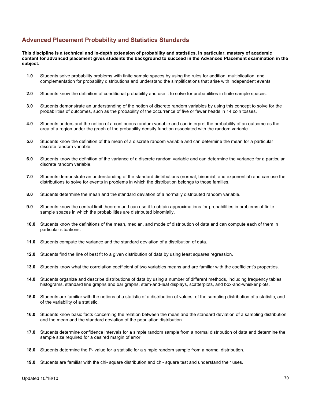## **Advanced Placement Probability and Statistics Standards**

**This discipline is a technical and in-depth extension of probability and statistics. In particular, mastery of academic content for advanced placement gives students the background to succeed in the Advanced Placement examination in the subject.** 

- **1.0** Students solve probability problems with finite sample spaces by using the rules for addition, multiplication, and complementation for probability distributions and understand the simplifications that arise with independent events.
- **2.0** Students know the definition of conditional probability and use it to solve for probabilities in finite sample spaces.
- **3.0** Students demonstrate an understanding of the notion of discrete random variables by using this concept to solve for the probabilities of outcomes, such as the probability of the occurrence of five or fewer heads in 14 coin tosses.
- **4.0** Students understand the notion of a continuous random variable and can interpret the probability of an outcome as the area of a region under the graph of the probability density function associated with the random variable.
- **5.0** Students know the definition of the mean of a discrete random variable and can determine the mean for a particular discrete random variable.
- **6.0** Students know the definition of the variance of a discrete random variable and can determine the variance for a particular discrete random variable.
- **7.0** Students demonstrate an understanding of the standard distributions (normal, binomial, and exponential) and can use the distributions to solve for events in problems in which the distribution belongs to those families.
- **8.0** Students determine the mean and the standard deviation of a normally distributed random variable.
- **9.0** Students know the central limit theorem and can use it to obtain approximations for probabilities in problems of finite sample spaces in which the probabilities are distributed binomially.
- **10.0** Students know the definitions of the mean, median, and mode of distribution of data and can compute each of them in particular situations.
- **11.0** Students compute the variance and the standard deviation of a distribution of data.
- **12.0** Students find the line of best fit to a given distribution of data by using least squares regression.
- **13.0** Students know what the correlation coefficient of two variables means and are familiar with the coefficient's properties.
- **14.0** Students organize and describe distributions of data by using a number of different methods, including frequency tables, histograms, standard line graphs and bar graphs, stem-and-leaf displays, scatterplots, and box-and-whisker plots.
- **15.0** Students are familiar with the notions of a statistic of a distribution of values, of the sampling distribution of a statistic, and of the variability of a statistic.
- **16.0** Students know basic facts concerning the relation between the mean and the standard deviation of a sampling distribution and the mean and the standard deviation of the population distribution.
- **17.0** Students determine confidence intervals for a simple random sample from a normal distribution of data and determine the sample size required for a desired margin of error.
- **18.0** Students determine the P*-* value for a statistic for a simple random sample from a normal distribution.
- **19.0** Students are familiar with the chi*-* square distribution and chi- square test and understand their uses.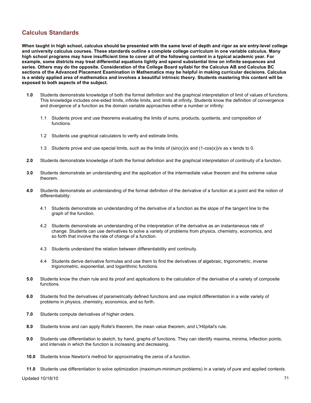### **Calculus Standards**

**When taught in high school, calculus should be presented with the same level of depth and rigor as are entry-level college and university calculus courses. These standards outline a complete college curriculum in one variable calculus. Many high school programs may have insufficient time to cover all of the following content in a typical academic year. For example, some districts may treat differential equations lightly and spend substantial time on infinite sequences and series. Others may do the opposite. Consideration of the College Board syllabi for the Calculus AB and Calculus BC sections of the Advanced Placement Examination in Mathematics may be helpful in making curricular decisions. Calculus is a widely applied area of mathematics and involves a beautiful intrinsic theory. Students mastering this content will be exposed to both aspects of the subject.** 

- **1.0** Students demonstrate knowledge of both the formal definition and the graphical interpretation of limit of values of functions. This knowledge includes one-sided limits, infinite limits, and limits at infinity. Students know the definition of convergence and divergence of a function as the domain variable approaches either a number or infinity:
	- 1.1 Students prove and use theorems evaluating the limits of sums, products, quotients, and composition of functions.
	- 1.2 Students use graphical calculators to verify and estimate limits.
	- 1.3 Students prove and use special limits, such as the limits of  $(sin(x))/x$  and  $(1-cos(x))/x$  as x tends to 0.
- **2.0** Students demonstrate knowledge of both the formal definition and the graphical interpretation of continuity of a function.
- **3.0** Students demonstrate an understanding and the application of the intermediate value theorem and the extreme value theorem.
- **4.0** Students demonstrate an understanding of the formal definition of the derivative of a function at a point and the notion of differentiability:
	- 4.1 Students demonstrate an understanding of the derivative of a function as the slope of the tangent line to the graph of the function.
	- 4.2 Students demonstrate an understanding of the interpretation of the derivative as an instantaneous rate of change. Students can use derivatives to solve a variety of problems from physics, chemistry, economics, and so forth that involve the rate of change of a function.
	- 4.3 Students understand the relation between differentiability and continuity.
	- 4.4 Students derive derivative formulas and use them to find the derivatives of algebraic, trigonometric, inverse trigonometric, exponential, and logarithmic functions.
- **5.0** Students know the chain rule and its proof and applications to the calculation of the derivative of a variety of composite functions.
- **6.0** Students find the derivatives of parametrically defined functions and use implicit differentiation in a wide variety of problems in physics, chemistry, economics, and so forth.
- **7.0** Students compute derivatives of higher orders.
- **8.0** Students know and can apply Rolle's theorem, the mean value theorem, and L'Hôpital's rule.
- **9.0** Students use differentiation to sketch, by hand, graphs of functions. They can identify maxima, minima, inflection points, and intervals in which the function is increasing and decreasing.
- **10.0** Students know Newton's method for approximating the zeros of a function.
- **11.0** Students use differentiation to solve optimization (maximum-minimum problems) in a variety of pure and applied contexts.

Updated  $10/18/10$  71